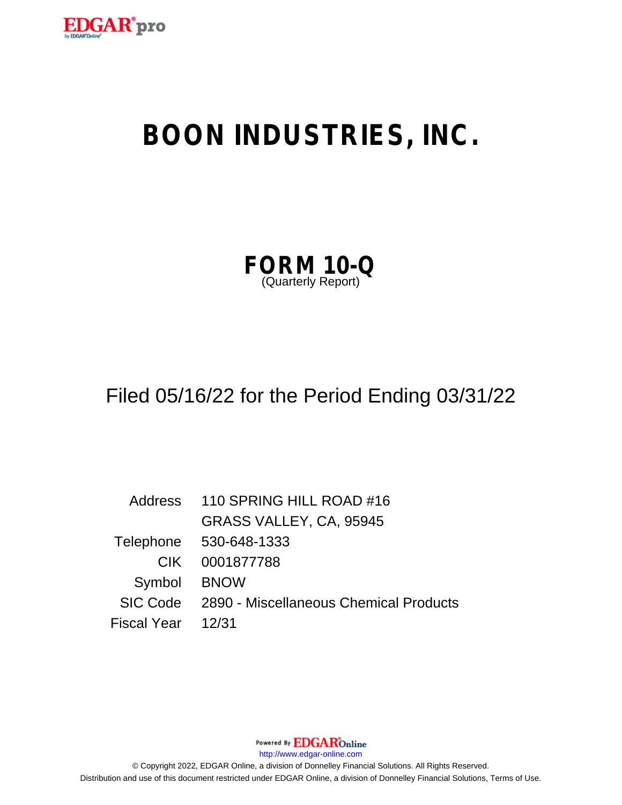

# **BOON INDUSTRIES, INC.**

| <b>FORM 10-Q</b>   |  |  |
|--------------------|--|--|
| (Quarterly Report) |  |  |

## Filed 05/16/22 for the Period Ending 03/31/22

Address 110 SPRING HILL ROAD #16 GRASS VALLEY, CA, 95945 Telephone 530-648-1333 CIK 0001877788 Symbol BNOW SIC Code 2890 - Miscellaneous Chemical Products Fiscal Year 12/31

Powered By **EDGAR**Online

http://www.edgar-online.com

© Copyright 2022, EDGAR Online, a division of Donnelley Financial Solutions. All Rights Reserved. Distribution and use of this document restricted under EDGAR Online, a division of Donnelley Financial Solutions, Terms of Use.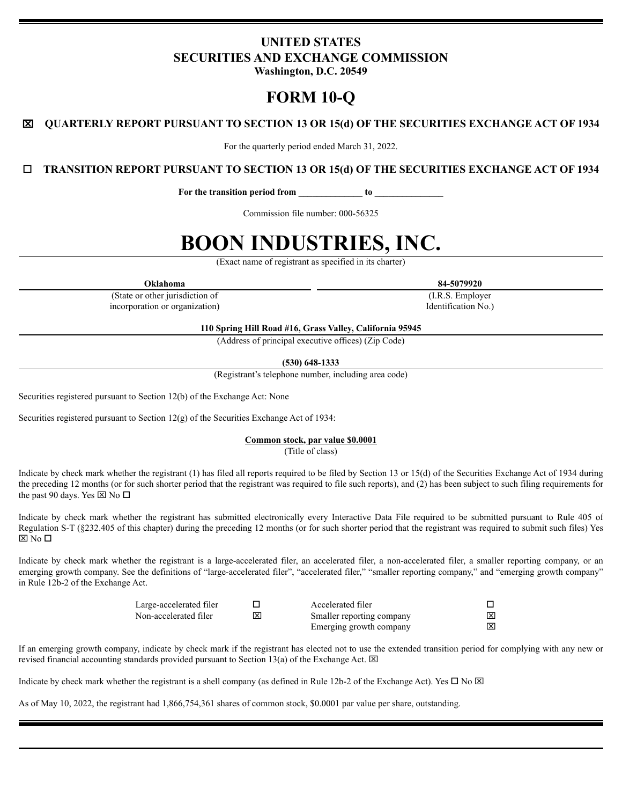### **UNITED STATES SECURITIES AND EXCHANGE COMMISSION**

Washington, D.C. 20549

### **FORM 10-O**

#### **OUARTERLY REPORT PURSUANT TO SECTION 13 OR 15(d) OF THE SECURITIES EXCHANGE ACT OF 1934** 囟

For the quarterly period ended March 31, 2022.

#### TRANSITION REPORT PURSUANT TO SECTION 13 OR 15(d) OF THE SECURITIES EXCHANGE ACT OF 1934 п

For the transition period from to to

Commission file number: 000-56325

## **BOON INDUSTRIES, INC.**

(Exact name of registrant as specified in its charter)

Oklahoma

(State or other jurisdiction of incorporation or organization)

84-5079920 (I.R.S. Employer) Identification No.)

110 Spring Hill Road #16, Grass Valley, California 95945

(Address of principal executive offices) (Zip Code)

 $(530)$  648-1333

(Registrant's telephone number, including area code)

Securities registered pursuant to Section 12(b) of the Exchange Act: None

Securities registered pursuant to Section  $12(g)$  of the Securities Exchange Act of 1934:

#### Common stock, par value \$0.0001

(Title of class)

Indicate by check mark whether the registrant (1) has filed all reports required to be filed by Section 13 or 15(d) of the Securities Exchange Act of 1934 during the preceding 12 months (or for such shorter period that the registrant was required to file such reports), and (2) has been subject to such filing requirements for the past 90 days. Yes  $\boxtimes$  No  $\square$ 

Indicate by check mark whether the registrant has submitted electronically every Interactive Data File required to be submitted pursuant to Rule 405 of Regulation S-T (§232.405 of this chapter) during the preceding 12 months (or for such shorter period that the registrant was required to submit such files) Yes  $\Sigma$  No  $\square$ 

Indicate by check mark whether the registrant is a large-accelerated filer, an accelerated filer, a non-accelerated filer, a smaller reporting company, or an emerging growth company. See the definitions of "large-accelerated filer", "accelerated filer," "smaller reporting company," and "emerging growth company" in Rule 12b-2 of the Exchange Act.

| Large-accelerated filer |   | Accelerated filer         |   |
|-------------------------|---|---------------------------|---|
| Non-accelerated filer   | ⊠ | Smaller reporting company | ⊠ |
|                         |   | Emerging growth company   | ⊠ |

If an emerging growth company, indicate by check mark if the registrant has elected not to use the extended transition period for complying with any new or revised financial accounting standards provided pursuant to Section 13(a) of the Exchange Act.  $\boxtimes$ 

Indicate by check mark whether the registrant is a shell company (as defined in Rule 12b-2 of the Exchange Act). Yes  $\Box$  No  $\boxtimes$ 

As of May 10, 2022, the registrant had 1,866,754,361 shares of common stock, \$0,0001 par value per share, outstanding.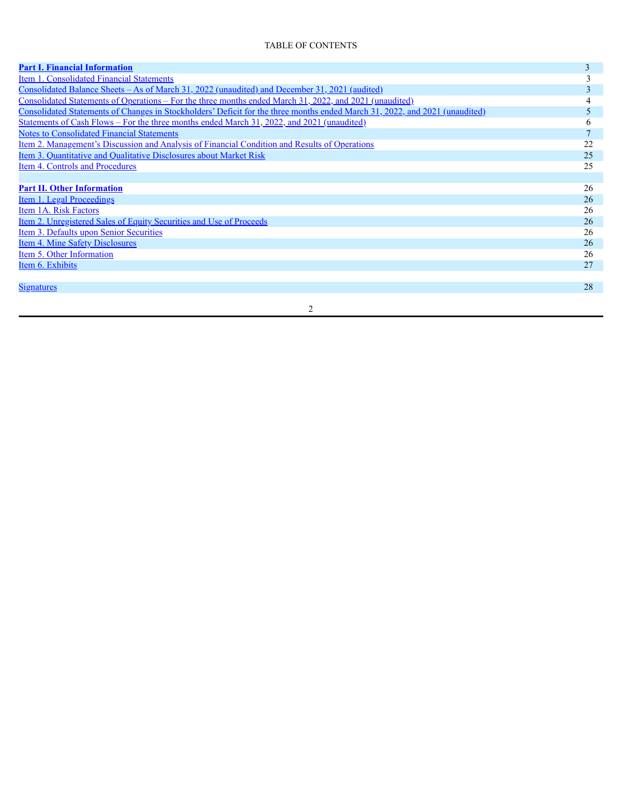### TABLE OF CONTENTS

| <b>Part I. Financial Information</b>                                                                                        | $\overline{3}$ |
|-----------------------------------------------------------------------------------------------------------------------------|----------------|
| Item 1. Consolidated Financial Statements                                                                                   |                |
| Consolidated Balance Sheets – As of March 31, 2022 (unaudited) and December 31, 2021 (audited)                              |                |
| Consolidated Statements of Operations – For the three months ended March 31, 2022, and 2021 (unaudited)                     |                |
| Consolidated Statements of Changes in Stockholders' Deficit for the three months ended March 31, 2022, and 2021 (unaudited) |                |
| Statements of Cash Flows – For the three months ended March 31, 2022, and 2021 (unaudited)                                  | 6              |
| <b>Notes to Consolidated Financial Statements</b>                                                                           |                |
| <u>Item 2. Management's Discussion and Analysis of Financial Condition and Results of Operations</u>                        | 22             |
| Item 3. Quantitative and Qualitative Disclosures about Market Risk                                                          | 25             |
| Item 4. Controls and Procedures                                                                                             | 25             |
|                                                                                                                             |                |
| <b>Part II. Other Information</b>                                                                                           | 26             |
| Item 1. Legal Proceedings                                                                                                   | 26             |
| Item 1A. Risk Factors                                                                                                       | 26             |
| <u>Item 2. Unregistered Sales of Equity Securities and Use of Proceeds</u>                                                  | 26             |
| Item 3. Defaults upon Senior Securities                                                                                     | 26             |
| Item 4. Mine Safety Disclosures                                                                                             | 26             |
| Item 5. Other Information                                                                                                   | 26             |
| Item 6. Exhibits                                                                                                            | 27             |
|                                                                                                                             |                |
| <b>Signatures</b>                                                                                                           | 28             |
|                                                                                                                             |                |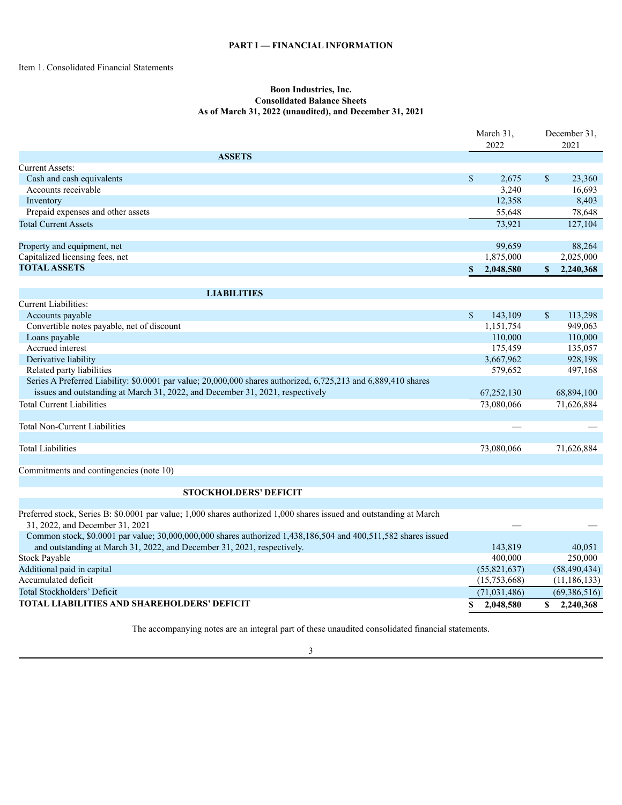#### **PART I — FINANCIAL INFORMATION**

#### Item 1. Consolidated Financial Statements

#### <span id="page-3-0"></span>**Boon Industries, Inc. Consolidated Balance Sheets As of March 31, 2022 (unaudited), and December 31, 2021**

|                                                                                                                                                                                                 | March 31,<br>2022 |                |               | December 31,<br>2021 |
|-------------------------------------------------------------------------------------------------------------------------------------------------------------------------------------------------|-------------------|----------------|---------------|----------------------|
| <b>ASSETS</b>                                                                                                                                                                                   |                   |                |               |                      |
| <b>Current Assets:</b>                                                                                                                                                                          |                   |                |               |                      |
| Cash and cash equivalents                                                                                                                                                                       | $\mathcal{S}$     | 2,675          | $\mathcal{S}$ | 23,360               |
| Accounts receivable                                                                                                                                                                             |                   | 3,240          |               | 16,693               |
| Inventory                                                                                                                                                                                       |                   | 12,358         |               | 8,403                |
| Prepaid expenses and other assets                                                                                                                                                               |                   | 55,648         |               | 78,648               |
| <b>Total Current Assets</b>                                                                                                                                                                     |                   | 73,921         |               | 127,104              |
| Property and equipment, net                                                                                                                                                                     |                   | 99,659         |               | 88,264               |
| Capitalized licensing fees, net                                                                                                                                                                 |                   | 1,875,000      |               | 2,025,000            |
| <b>TOTAL ASSETS</b>                                                                                                                                                                             | \$                | 2,048,580      | \$            | 2,240,368            |
| <b>LIABILITIES</b>                                                                                                                                                                              |                   |                |               |                      |
| Current Liabilities:                                                                                                                                                                            |                   |                |               |                      |
| Accounts payable                                                                                                                                                                                | $\mathbb{S}$      | 143,109        | \$            | 113,298              |
| Convertible notes payable, net of discount                                                                                                                                                      |                   | 1,151,754      |               | 949,063              |
| Loans payable                                                                                                                                                                                   |                   | 110,000        |               | 110,000              |
| Accrued interest                                                                                                                                                                                |                   | 175,459        |               | 135,057              |
| Derivative liability                                                                                                                                                                            |                   | 3,667,962      |               | 928,198              |
| Related party liabilities                                                                                                                                                                       |                   | 579,652        |               | 497,168              |
| Series A Preferred Liability: \$0.0001 par value; 20,000,000 shares authorized, 6,725,213 and 6,889,410 shares<br>issues and outstanding at March 31, 2022, and December 31, 2021, respectively |                   | 67,252,130     |               | 68,894,100           |
| <b>Total Current Liabilities</b>                                                                                                                                                                |                   | 73,080,066     |               | 71,626,884           |
|                                                                                                                                                                                                 |                   |                |               |                      |
| <b>Total Non-Current Liabilities</b>                                                                                                                                                            |                   |                |               |                      |
|                                                                                                                                                                                                 |                   |                |               |                      |
| <b>Total Liabilities</b>                                                                                                                                                                        |                   | 73,080,066     |               | 71,626,884           |
|                                                                                                                                                                                                 |                   |                |               |                      |
| Commitments and contingencies (note 10)                                                                                                                                                         |                   |                |               |                      |
| <b>STOCKHOLDERS' DEFICIT</b>                                                                                                                                                                    |                   |                |               |                      |
|                                                                                                                                                                                                 |                   |                |               |                      |
| Preferred stock, Series B: \$0.0001 par value; 1,000 shares authorized 1,000 shares issued and outstanding at March<br>31, 2022, and December 31, 2021                                          |                   |                |               |                      |
| Common stock, \$0.0001 par value; 30,000,000,000 shares authorized 1,438,186,504 and 400,511,582 shares issued                                                                                  |                   |                |               |                      |
| and outstanding at March 31, 2022, and December 31, 2021, respectively.                                                                                                                         |                   | 143,819        |               | 40,051               |
| <b>Stock Payable</b>                                                                                                                                                                            |                   | 400,000        |               | 250,000              |
| Additional paid in capital                                                                                                                                                                      |                   | (55, 821, 637) |               | (58, 490, 434)       |
| Accumulated deficit                                                                                                                                                                             |                   | (15,753,668)   |               | (11, 186, 133)       |
| Total Stockholders' Deficit                                                                                                                                                                     |                   | (71, 031, 486) |               | (69, 386, 516)       |
| TOTAL LIABILITIES AND SHAREHOLDERS' DEFICIT                                                                                                                                                     | \$                | 2,048,580      | S             | 2,240,368            |

The accompanying notes are an integral part of these unaudited consolidated financial statements.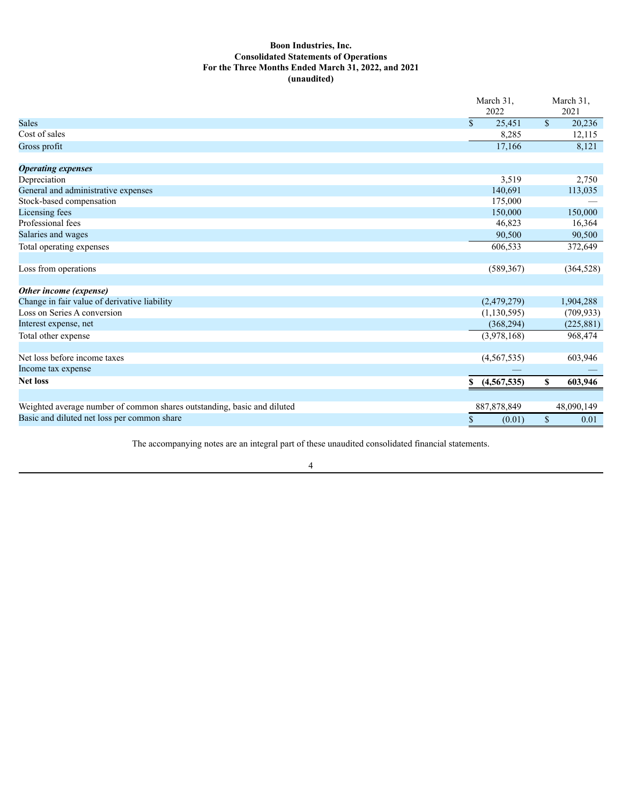#### **Boon Industries, Inc. Consolidated Statements of Operations For the Three Months Ended March 31, 2022, and 2021 (unaudited)**

|                                                                         |              | March 31.<br>2022 |              | March 31,<br>2021 |
|-------------------------------------------------------------------------|--------------|-------------------|--------------|-------------------|
| <b>Sales</b>                                                            | $\mathbb{S}$ | 25,451            | $\mathbf{s}$ | 20,236            |
| Cost of sales                                                           |              | 8,285             |              | 12,115            |
| Gross profit                                                            |              | 17,166            |              | 8,121             |
| <b>Operating expenses</b>                                               |              |                   |              |                   |
| Depreciation                                                            |              | 3,519             |              | 2,750             |
| General and administrative expenses                                     |              | 140,691           |              | 113,035           |
| Stock-based compensation                                                |              | 175,000           |              |                   |
| Licensing fees                                                          |              | 150,000           |              | 150,000           |
| Professional fees                                                       |              | 46,823            |              | 16,364            |
| Salaries and wages                                                      |              | 90,500            |              | 90,500            |
| Total operating expenses                                                |              | 606,533           |              | 372,649           |
| Loss from operations                                                    |              | (589, 367)        |              | (364, 528)        |
| Other income (expense)                                                  |              |                   |              |                   |
| Change in fair value of derivative liability                            |              | (2,479,279)       |              | 1,904,288         |
| Loss on Series A conversion                                             |              | (1, 130, 595)     |              | (709, 933)        |
| Interest expense, net                                                   |              | (368, 294)        |              | (225, 881)        |
| Total other expense                                                     |              | (3,978,168)       |              | 968,474           |
| Net loss before income taxes                                            |              | (4, 567, 535)     |              | 603,946           |
| Income tax expense                                                      |              |                   |              |                   |
| <b>Net loss</b>                                                         |              | (4,567,535)       | \$           | 603,946           |
|                                                                         |              |                   |              |                   |
| Weighted average number of common shares outstanding, basic and diluted |              | 887, 878, 849     |              | 48,090,149        |
| Basic and diluted net loss per common share                             | \$           | (0.01)            | \$           | 0.01              |

The accompanying notes are an integral part of these unaudited consolidated financial statements.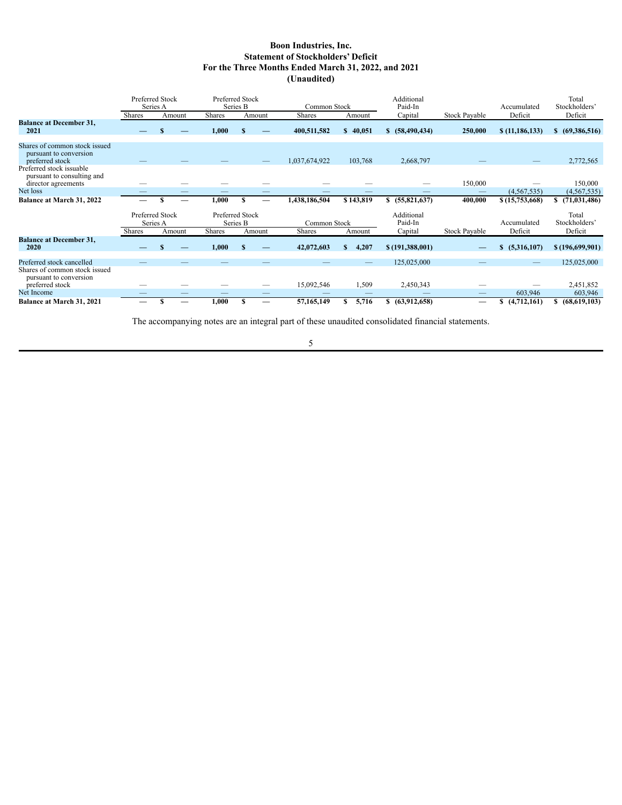#### <span id="page-5-0"></span>**Boon Industries, Inc. Statement of Stockholders' Deficit For the Three Months Ended March 31, 2022, and 2021 (Unaudited)**

|                                                                               | Preferred Stock                  | Series A |        | Preferred Stock                         | Series B     |        | Common Stock                  |              |           | Additional<br>Paid-In            |                      | Accumulated            | Total<br>Stockholders'            |
|-------------------------------------------------------------------------------|----------------------------------|----------|--------|-----------------------------------------|--------------|--------|-------------------------------|--------------|-----------|----------------------------------|----------------------|------------------------|-----------------------------------|
|                                                                               | <b>Shares</b>                    |          | Amount | Shares                                  |              | Amount | Shares                        |              | Amount    | Capital                          | <b>Stock Payable</b> | Deficit                | Deficit                           |
| <b>Balance at December 31,</b><br>2021                                        |                                  |          |        | 1,000                                   |              |        | 400,511,582                   |              | \$40,051  | \$ (58, 490, 434)                | 250,000              | \$(11,186,133)         | \$ (69,386,516)                   |
| Shares of common stock issued<br>pursuant to conversion<br>preferred stock    |                                  |          |        |                                         |              |        | 1,037,674,922                 |              | 103,768   | 2,668,797                        |                      |                        | 2,772,565                         |
| Preferred stock issuable<br>pursuant to consulting and<br>director agreements |                                  |          |        |                                         |              |        |                               |              |           |                                  | 150,000              |                        | 150,000                           |
| Net loss                                                                      |                                  |          |        |                                         |              |        |                               |              |           |                                  |                      | (4,567,535)            | (4,567,535)                       |
| Balance at March 31, 2022                                                     | $\overline{\phantom{0}}$         |          |        | 1,000                                   |              | --     | 1,438,186,504                 |              | \$143,819 | \$ (55,821,637)                  | 400,000              | \$(15,753,668)         | (71, 031, 486)                    |
|                                                                               | Preferred Stock<br><b>Shares</b> | Series A | Amount | <b>Preferred Stock</b><br><b>Shares</b> | Series B     | Amount | Common Stock<br><b>Shares</b> |              | Amount    | Additional<br>Paid-In<br>Capital | Stock Payable        | Accumulated<br>Deficit | Total<br>Stockholders'<br>Deficit |
| <b>Balance at December 31,</b><br>2020                                        |                                  |          |        | 1.000                                   | $\mathbf{s}$ |        | 42,072,603                    | $\mathbf{s}$ | 4,207     | \$(191,388,001)                  |                      | \$(5,316,107)          | \$(196,699,901)                   |
| Preferred stock cancelled<br>Shares of common stock issued                    |                                  |          |        |                                         |              |        |                               |              |           | 125,025,000                      |                      |                        | 125,025,000                       |
| pursuant to conversion<br>preferred stock                                     |                                  |          |        |                                         |              |        | 15,092,546                    |              | 1,509     | 2,450,343                        |                      |                        | 2,451,852                         |
| Net Income                                                                    |                                  |          |        |                                         |              |        |                               |              |           |                                  |                      | 603,946                | 603,946                           |
| Balance at March 31, 2021                                                     |                                  |          |        | 1,000                                   |              |        | 57,165,149                    |              | 5,716     | (63,912,658)                     | --                   | (4,712,161)            | (68, 619, 103)                    |

The accompanying notes are an integral part of these unaudited consolidated financial statements.

5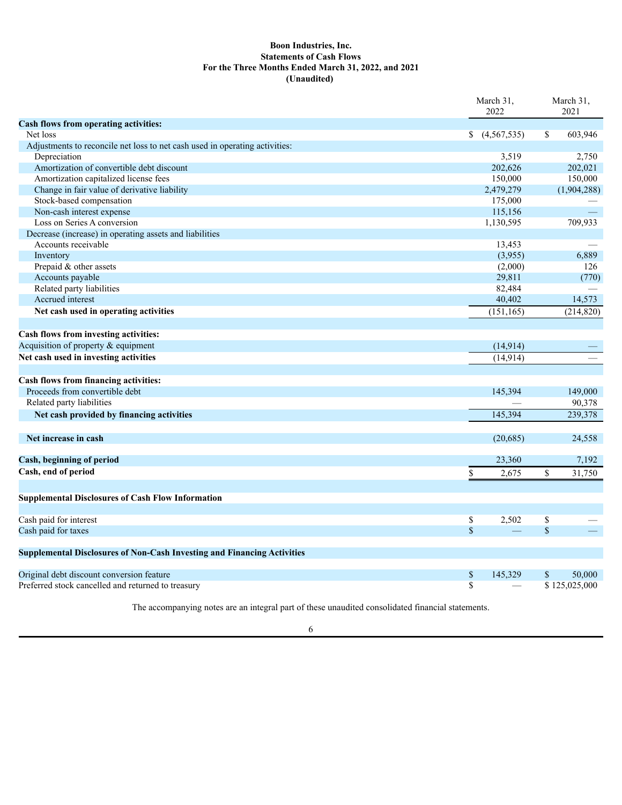#### <span id="page-6-0"></span>**Boon Industries, Inc. Statements of Cash Flows For the Three Months Ended March 31, 2022, and 2021 (Unaudited)**

|                                                                                |               | March 31,<br>2022 |    | March 31,<br>2021 |
|--------------------------------------------------------------------------------|---------------|-------------------|----|-------------------|
| Cash flows from operating activities:                                          |               |                   |    |                   |
| Net loss                                                                       |               | (4,567,535)       | \$ | 603,946           |
| Adjustments to reconcile net loss to net cash used in operating activities:    |               |                   |    |                   |
| Depreciation                                                                   |               | 3,519             |    | 2,750             |
| Amortization of convertible debt discount                                      |               | 202,626           |    | 202,021           |
| Amortization capitalized license fees                                          |               | 150,000           |    | 150,000           |
| Change in fair value of derivative liability                                   |               | 2,479,279         |    | (1,904,288)       |
| Stock-based compensation                                                       |               | 175,000           |    |                   |
| Non-cash interest expense                                                      |               | 115,156           |    |                   |
| Loss on Series A conversion                                                    |               | 1,130,595         |    | 709,933           |
| Decrease (increase) in operating assets and liabilities                        |               |                   |    |                   |
| Accounts receivable                                                            |               | 13,453            |    |                   |
| Inventory                                                                      |               | (3,955)           |    | 6,889             |
| Prepaid & other assets                                                         |               | (2,000)           |    | 126               |
| Accounts payable                                                               |               | 29,811            |    | (770)             |
| Related party liabilities                                                      |               | 82,484            |    |                   |
| Accrued interest                                                               |               | 40,402            |    | 14.573            |
| Net cash used in operating activities                                          |               | (151, 165)        |    | (214, 820)        |
|                                                                                |               |                   |    |                   |
| Cash flows from investing activities:                                          |               |                   |    |                   |
| Acquisition of property & equipment                                            |               | (14,914)          |    |                   |
| Net cash used in investing activities                                          |               | (14, 914)         |    |                   |
|                                                                                |               |                   |    |                   |
| Cash flows from financing activities:                                          |               |                   |    |                   |
| Proceeds from convertible debt                                                 |               | 145,394           |    | 149,000           |
| Related party liabilities                                                      |               |                   |    | 90,378            |
| Net cash provided by financing activities                                      |               | 145,394           |    | 239,378           |
|                                                                                |               |                   |    |                   |
| Net increase in cash                                                           |               | (20, 685)         |    | 24,558            |
|                                                                                |               |                   |    |                   |
| Cash, beginning of period                                                      |               | 23,360            |    | 7,192             |
| Cash, end of period                                                            | \$            | 2,675             | \$ | 31,750            |
|                                                                                |               |                   |    |                   |
| <b>Supplemental Disclosures of Cash Flow Information</b>                       |               |                   |    |                   |
|                                                                                |               |                   |    |                   |
| Cash paid for interest                                                         | \$            | 2,502             | \$ |                   |
| Cash paid for taxes                                                            | $\mathsf{\$}$ |                   | \$ |                   |
|                                                                                |               |                   |    |                   |
| <b>Supplemental Disclosures of Non-Cash Investing and Financing Activities</b> |               |                   |    |                   |
|                                                                                |               |                   |    |                   |
| Original debt discount conversion feature                                      | \$            | 145,329           | \$ | 50,000            |
| Preferred stock cancelled and returned to treasury                             | \$            |                   |    | \$125,025,000     |

The accompanying notes are an integral part of these unaudited consolidated financial statements.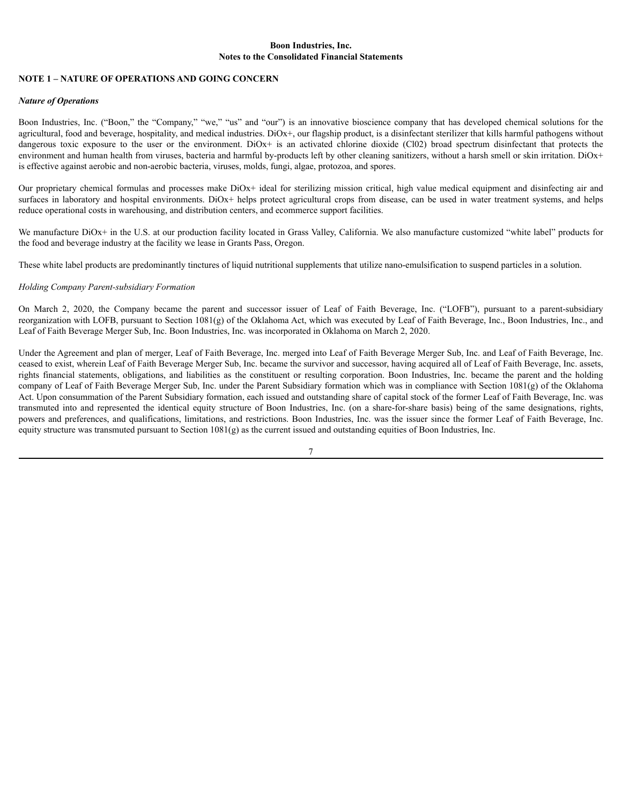#### <span id="page-7-0"></span>**Boon Industries, Inc. Notes to the Consolidated Financial Statements**

#### **NOTE 1 – NATURE OF OPERATIONS AND GOING CONCERN**

#### *Nature of Operations*

Boon Industries, Inc. ("Boon," the "Company," "we," "us" and "our") is an innovative bioscience company that has developed chemical solutions for the agricultural, food and beverage, hospitality, and medical industries. DiOx+, our flagship product, is a disinfectant sterilizer that kills harmful pathogens without dangerous toxic exposure to the user or the environment. DiOx+ is an activated chlorine dioxide (Cl02) broad spectrum disinfectant that protects the environment and human health from viruses, bacteria and harmful by-products left by other cleaning sanitizers, without a harsh smell or skin irritation. DiOx+ is effective against aerobic and non-aerobic bacteria, viruses, molds, fungi, algae, protozoa, and spores.

Our proprietary chemical formulas and processes make DiOx+ ideal for sterilizing mission critical, high value medical equipment and disinfecting air and surfaces in laboratory and hospital environments. DiOx+ helps protect agricultural crops from disease, can be used in water treatment systems, and helps reduce operational costs in warehousing, and distribution centers, and ecommerce support facilities.

We manufacture DiOx+ in the U.S. at our production facility located in Grass Valley, California. We also manufacture customized "white label" products for the food and beverage industry at the facility we lease in Grants Pass, Oregon.

These white label products are predominantly tinctures of liquid nutritional supplements that utilize nano-emulsification to suspend particles in a solution.

#### *Holding Company Parent-subsidiary Formation*

On March 2, 2020, the Company became the parent and successor issuer of Leaf of Faith Beverage, Inc. ("LOFB"), pursuant to a parent-subsidiary reorganization with LOFB, pursuant to Section 1081(g) of the Oklahoma Act, which was executed by Leaf of Faith Beverage, Inc., Boon Industries, Inc., and Leaf of Faith Beverage Merger Sub, Inc. Boon Industries, Inc. was incorporated in Oklahoma on March 2, 2020.

Under the Agreement and plan of merger, Leaf of Faith Beverage, Inc. merged into Leaf of Faith Beverage Merger Sub, Inc. and Leaf of Faith Beverage, Inc. ceased to exist, wherein Leaf of Faith Beverage Merger Sub, Inc. became the survivor and successor, having acquired all of Leaf of Faith Beverage, Inc. assets, rights financial statements, obligations, and liabilities as the constituent or resulting corporation. Boon Industries, Inc. became the parent and the holding company of Leaf of Faith Beverage Merger Sub, Inc. under the Parent Subsidiary formation which was in compliance with Section 1081(g) of the Oklahoma Act. Upon consummation of the Parent Subsidiary formation, each issued and outstanding share of capital stock of the former Leaf of Faith Beverage, Inc. was transmuted into and represented the identical equity structure of Boon Industries, Inc. (on a share-for-share basis) being of the same designations, rights, powers and preferences, and qualifications, limitations, and restrictions. Boon Industries, Inc. was the issuer since the former Leaf of Faith Beverage, Inc. equity structure was transmuted pursuant to Section  $1081(g)$  as the current issued and outstanding equities of Boon Industries, Inc.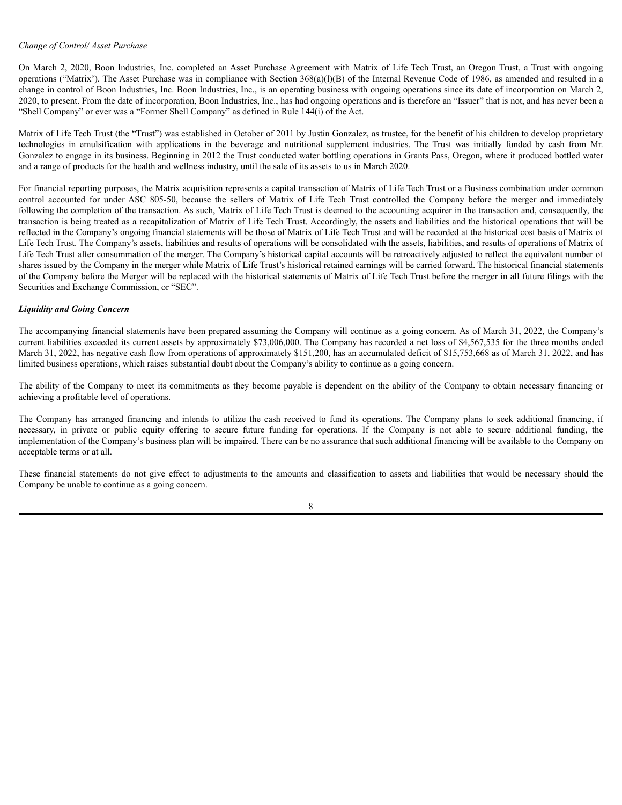#### *Change of Control/ Asset Purchase*

On March 2, 2020, Boon Industries, Inc. completed an Asset Purchase Agreement with Matrix of Life Tech Trust, an Oregon Trust, a Trust with ongoing operations ("Matrix'). The Asset Purchase was in compliance with Section 368(a)(l)(B) of the Internal Revenue Code of 1986, as amended and resulted in a change in control of Boon Industries, Inc. Boon Industries, Inc., is an operating business with ongoing operations since its date of incorporation on March 2, 2020, to present. From the date of incorporation, Boon Industries, Inc., has had ongoing operations and is therefore an "Issuer" that is not, and has never been a "Shell Company" or ever was a "Former Shell Company" as defined in Rule 144(i) of the Act.

Matrix of Life Tech Trust (the "Trust") was established in October of 2011 by Justin Gonzalez, as trustee, for the benefit of his children to develop proprietary technologies in emulsification with applications in the beverage and nutritional supplement industries. The Trust was initially funded by cash from Mr. Gonzalez to engage in its business. Beginning in 2012 the Trust conducted water bottling operations in Grants Pass, Oregon, where it produced bottled water and a range of products for the health and wellness industry, until the sale of its assets to us in March 2020.

For financial reporting purposes, the Matrix acquisition represents a capital transaction of Matrix of Life Tech Trust or a Business combination under common control accounted for under ASC 805-50, because the sellers of Matrix of Life Tech Trust controlled the Company before the merger and immediately following the completion of the transaction. As such, Matrix of Life Tech Trust is deemed to the accounting acquirer in the transaction and, consequently, the transaction is being treated as a recapitalization of Matrix of Life Tech Trust. Accordingly, the assets and liabilities and the historical operations that will be reflected in the Company's ongoing financial statements will be those of Matrix of Life Tech Trust and will be recorded at the historical cost basis of Matrix of Life Tech Trust. The Company's assets, liabilities and results of operations will be consolidated with the assets, liabilities, and results of operations of Matrix of Life Tech Trust after consummation of the merger. The Company's historical capital accounts will be retroactively adjusted to reflect the equivalent number of shares issued by the Company in the merger while Matrix of Life Trust's historical retained earnings will be carried forward. The historical financial statements of the Company before the Merger will be replaced with the historical statements of Matrix of Life Tech Trust before the merger in all future filings with the Securities and Exchange Commission, or "SEC".

#### *Liquidity and Going Concern*

The accompanying financial statements have been prepared assuming the Company will continue as a going concern. As of March 31, 2022, the Company's current liabilities exceeded its current assets by approximately \$73,006,000. The Company has recorded a net loss of \$4,567,535 for the three months ended March 31, 2022, has negative cash flow from operations of approximately \$151,200, has an accumulated deficit of \$15,753,668 as of March 31, 2022, and has limited business operations, which raises substantial doubt about the Company's ability to continue as a going concern.

The ability of the Company to meet its commitments as they become payable is dependent on the ability of the Company to obtain necessary financing or achieving a profitable level of operations.

The Company has arranged financing and intends to utilize the cash received to fund its operations. The Company plans to seek additional financing, if necessary, in private or public equity offering to secure future funding for operations. If the Company is not able to secure additional funding, the implementation of the Company's business plan will be impaired. There can be no assurance that such additional financing will be available to the Company on acceptable terms or at all.

These financial statements do not give effect to adjustments to the amounts and classification to assets and liabilities that would be necessary should the Company be unable to continue as a going concern.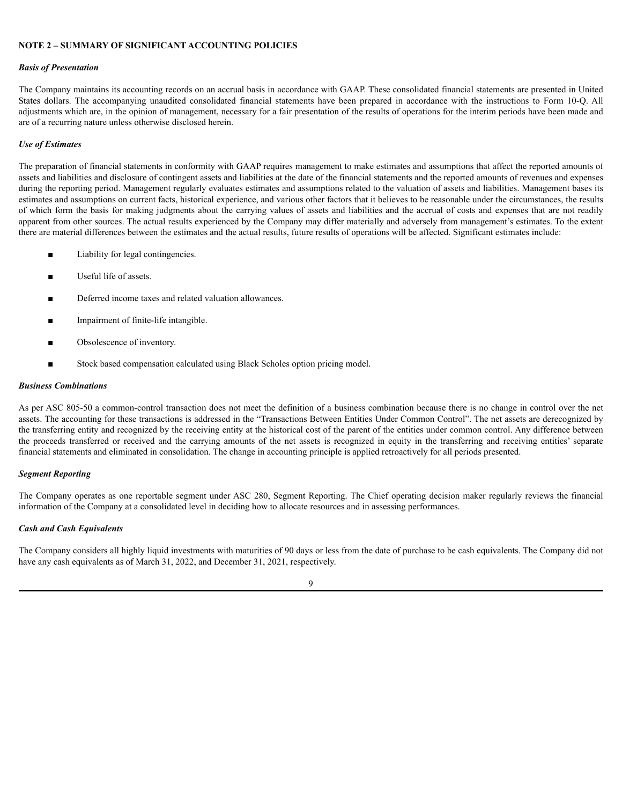#### **NOTE 2 – SUMMARY OF SIGNIFICANT ACCOUNTING POLICIES**

#### *Basis of Presentation*

The Company maintains its accounting records on an accrual basis in accordance with GAAP. These consolidated financial statements are presented in United States dollars. The accompanying unaudited consolidated financial statements have been prepared in accordance with the instructions to Form 10-Q. All adjustments which are, in the opinion of management, necessary for a fair presentation of the results of operations for the interim periods have been made and are of a recurring nature unless otherwise disclosed herein.

#### *Use of Estimates*

The preparation of financial statements in conformity with GAAP requires management to make estimates and assumptions that affect the reported amounts of assets and liabilities and disclosure of contingent assets and liabilities at the date of the financial statements and the reported amounts of revenues and expenses during the reporting period. Management regularly evaluates estimates and assumptions related to the valuation of assets and liabilities. Management bases its estimates and assumptions on current facts, historical experience, and various other factors that it believes to be reasonable under the circumstances, the results of which form the basis for making judgments about the carrying values of assets and liabilities and the accrual of costs and expenses that are not readily apparent from other sources. The actual results experienced by the Company may differ materially and adversely from management's estimates. To the extent there are material differences between the estimates and the actual results, future results of operations will be affected. Significant estimates include:

- Liability for legal contingencies.
- Useful life of assets.
- Deferred income taxes and related valuation allowances.
- Impairment of finite-life intangible.
- Obsolescence of inventory.
- Stock based compensation calculated using Black Scholes option pricing model.

#### *Business Combinations*

As per ASC 805-50 a common-control transaction does not meet the definition of a business combination because there is no change in control over the net assets. The accounting for these transactions is addressed in the "Transactions Between Entities Under Common Control". The net assets are derecognized by the transferring entity and recognized by the receiving entity at the historical cost of the parent of the entities under common control. Any difference between the proceeds transferred or received and the carrying amounts of the net assets is recognized in equity in the transferring and receiving entities' separate financial statements and eliminated in consolidation. The change in accounting principle is applied retroactively for all periods presented.

#### *Segment Reporting*

The Company operates as one reportable segment under ASC 280, Segment Reporting. The Chief operating decision maker regularly reviews the financial information of the Company at a consolidated level in deciding how to allocate resources and in assessing performances.

#### *Cash and Cash Equivalents*

The Company considers all highly liquid investments with maturities of 90 days or less from the date of purchase to be cash equivalents. The Company did not have any cash equivalents as of March 31, 2022, and December 31, 2021, respectively.

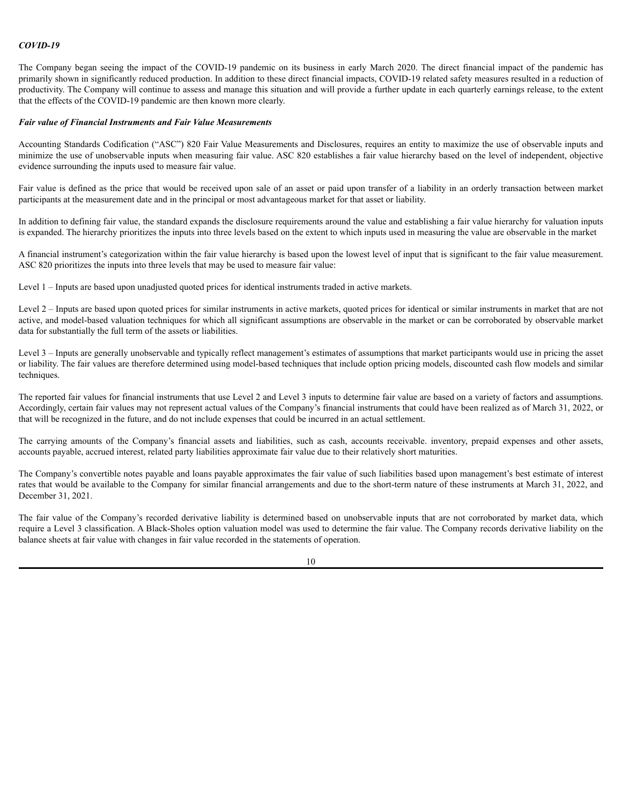#### *COVID-19*

The Company began seeing the impact of the COVID-19 pandemic on its business in early March 2020. The direct financial impact of the pandemic has primarily shown in significantly reduced production. In addition to these direct financial impacts, COVID-19 related safety measures resulted in a reduction of productivity. The Company will continue to assess and manage this situation and will provide a further update in each quarterly earnings release, to the extent that the effects of the COVID-19 pandemic are then known more clearly.

#### *Fair value of Financial Instruments and Fair Value Measurements*

Accounting Standards Codification ("ASC") 820 Fair Value Measurements and Disclosures, requires an entity to maximize the use of observable inputs and minimize the use of unobservable inputs when measuring fair value. ASC 820 establishes a fair value hierarchy based on the level of independent, objective evidence surrounding the inputs used to measure fair value.

Fair value is defined as the price that would be received upon sale of an asset or paid upon transfer of a liability in an orderly transaction between market participants at the measurement date and in the principal or most advantageous market for that asset or liability.

In addition to defining fair value, the standard expands the disclosure requirements around the value and establishing a fair value hierarchy for valuation inputs is expanded. The hierarchy prioritizes the inputs into three levels based on the extent to which inputs used in measuring the value are observable in the market

A financial instrument's categorization within the fair value hierarchy is based upon the lowest level of input that is significant to the fair value measurement. ASC 820 prioritizes the inputs into three levels that may be used to measure fair value:

Level 1 – Inputs are based upon unadjusted quoted prices for identical instruments traded in active markets.

Level 2 – Inputs are based upon quoted prices for similar instruments in active markets, quoted prices for identical or similar instruments in market that are not active, and model-based valuation techniques for which all significant assumptions are observable in the market or can be corroborated by observable market data for substantially the full term of the assets or liabilities.

Level 3 – Inputs are generally unobservable and typically reflect management's estimates of assumptions that market participants would use in pricing the asset or liability. The fair values are therefore determined using model-based techniques that include option pricing models, discounted cash flow models and similar techniques.

The reported fair values for financial instruments that use Level 2 and Level 3 inputs to determine fair value are based on a variety of factors and assumptions. Accordingly, certain fair values may not represent actual values of the Company's financial instruments that could have been realized as of March 31, 2022, or that will be recognized in the future, and do not include expenses that could be incurred in an actual settlement.

The carrying amounts of the Company's financial assets and liabilities, such as cash, accounts receivable. inventory, prepaid expenses and other assets, accounts payable, accrued interest, related party liabilities approximate fair value due to their relatively short maturities.

The Company's convertible notes payable and loans payable approximates the fair value of such liabilities based upon management's best estimate of interest rates that would be available to the Company for similar financial arrangements and due to the short-term nature of these instruments at March 31, 2022, and December 31, 2021.

The fair value of the Company's recorded derivative liability is determined based on unobservable inputs that are not corroborated by market data, which require a Level 3 classification. A Black-Sholes option valuation model was used to determine the fair value. The Company records derivative liability on the balance sheets at fair value with changes in fair value recorded in the statements of operation.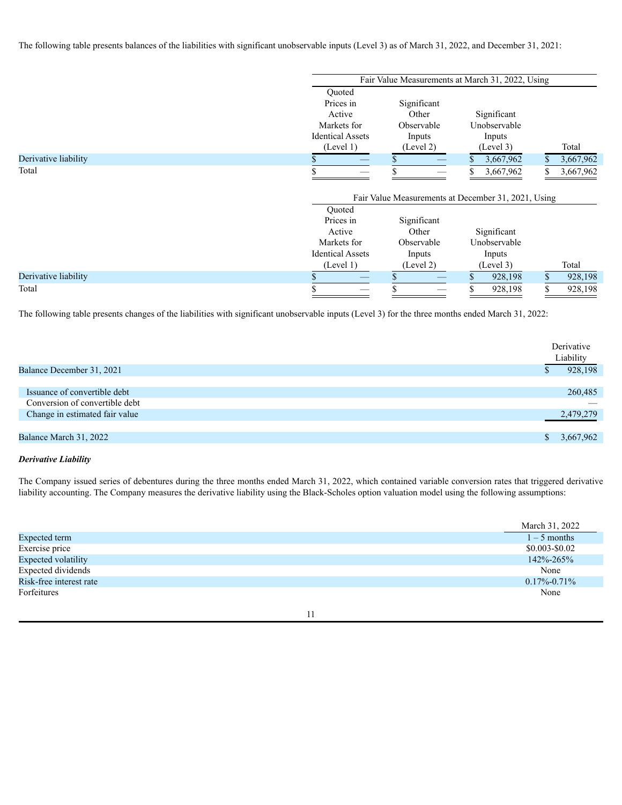The following table presents balances of the liabilities with significant unobservable inputs (Level 3) as of March 31, 2022, and December 31, 2021:

|                      |                         | Fair Value Measurements at March 31, 2022, Using    |              |               |  |  |  |  |  |  |  |
|----------------------|-------------------------|-----------------------------------------------------|--------------|---------------|--|--|--|--|--|--|--|
|                      | Quoted                  |                                                     |              |               |  |  |  |  |  |  |  |
|                      | Prices in               | Significant                                         |              |               |  |  |  |  |  |  |  |
|                      | Active                  | Other                                               | Significant  |               |  |  |  |  |  |  |  |
|                      | Markets for             | Observable                                          | Unobservable |               |  |  |  |  |  |  |  |
|                      | <b>Identical Assets</b> | Inputs                                              | Inputs       |               |  |  |  |  |  |  |  |
|                      | (Level 1)               | (Level 2)                                           | (Level 3)    | Total         |  |  |  |  |  |  |  |
| Derivative liability |                         |                                                     | 3,667,962    | 3,667,962     |  |  |  |  |  |  |  |
| Total                |                         |                                                     | 3,667,962    | 3,667,962     |  |  |  |  |  |  |  |
|                      | Quoted                  | Fair Value Measurements at December 31, 2021, Using |              |               |  |  |  |  |  |  |  |
|                      | Prices in               | Significant                                         |              |               |  |  |  |  |  |  |  |
|                      | Active                  | Other                                               | Significant  |               |  |  |  |  |  |  |  |
|                      | Markets for             | Observable                                          | Unobservable |               |  |  |  |  |  |  |  |
|                      | <b>Identical Assets</b> | Inputs                                              | Inputs       |               |  |  |  |  |  |  |  |
|                      | (Level 1)               | (Level 2)                                           | (Level 3)    | Total         |  |  |  |  |  |  |  |
| Derivative liability |                         |                                                     | 928,198      | 928,198<br>\$ |  |  |  |  |  |  |  |
| Total                |                         |                                                     | 928,198      | 928,198       |  |  |  |  |  |  |  |
|                      |                         |                                                     |              |               |  |  |  |  |  |  |  |

The following table presents changes of the liabilities with significant unobservable inputs (Level 3) for the three months ended March 31, 2022:

|                                | Derivative<br>Liability |
|--------------------------------|-------------------------|
| Balance December 31, 2021      | 928,198                 |
|                                |                         |
| Issuance of convertible debt   | 260,485                 |
| Conversion of convertible debt |                         |
| Change in estimated fair value | 2,479,279               |
|                                |                         |
| Balance March 31, 2022         | 3,667,962               |
|                                |                         |

#### *Derivative Liability*

The Company issued series of debentures during the three months ended March 31, 2022, which contained variable conversion rates that triggered derivative liability accounting. The Company measures the derivative liability using the Black-Scholes option valuation model using the following assumptions:

|                         | March 31, 2022    |
|-------------------------|-------------------|
| Expected term           | $1 - 5$ months    |
| Exercise price          | $$0.003 - $0.02$  |
| Expected volatility     | $142\% - 265\%$   |
| Expected dividends      | None              |
| Risk-free interest rate | $0.17\% - 0.71\%$ |
| Forfeitures             | None              |

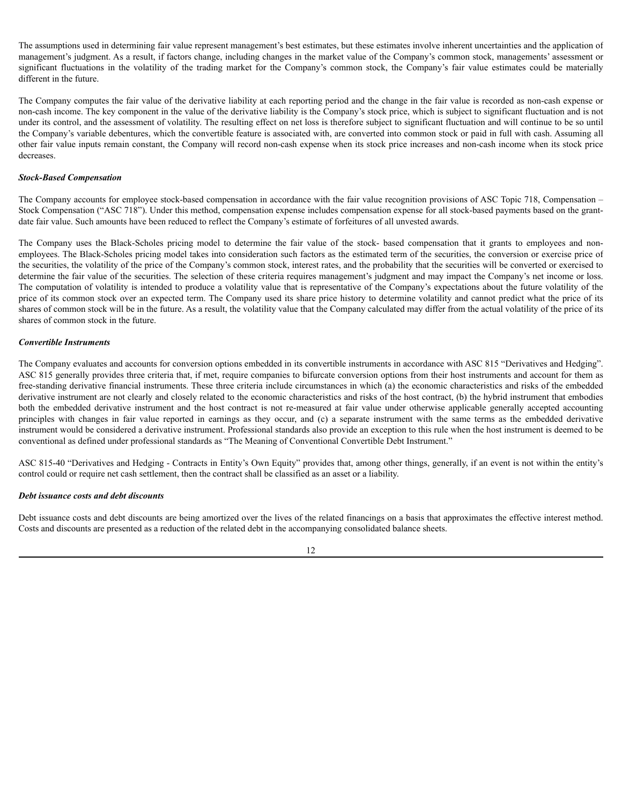The assumptions used in determining fair value represent management's best estimates, but these estimates involve inherent uncertainties and the application of management's judgment. As a result, if factors change, including changes in the market value of the Company's common stock, managements' assessment or significant fluctuations in the volatility of the trading market for the Company's common stock, the Company's fair value estimates could be materially different in the future.

The Company computes the fair value of the derivative liability at each reporting period and the change in the fair value is recorded as non-cash expense or non-cash income. The key component in the value of the derivative liability is the Company's stock price, which is subject to significant fluctuation and is not under its control, and the assessment of volatility. The resulting effect on net loss is therefore subject to significant fluctuation and will continue to be so until the Company's variable debentures, which the convertible feature is associated with, are converted into common stock or paid in full with cash. Assuming all other fair value inputs remain constant, the Company will record non-cash expense when its stock price increases and non-cash income when its stock price decreases.

#### *Stock-Based Compensation*

The Company accounts for employee stock-based compensation in accordance with the fair value recognition provisions of ASC Topic 718, Compensation – Stock Compensation ("ASC 718"). Under this method, compensation expense includes compensation expense for all stock-based payments based on the grantdate fair value. Such amounts have been reduced to reflect the Company's estimate of forfeitures of all unvested awards.

The Company uses the Black-Scholes pricing model to determine the fair value of the stock- based compensation that it grants to employees and nonemployees. The Black-Scholes pricing model takes into consideration such factors as the estimated term of the securities, the conversion or exercise price of the securities, the volatility of the price of the Company's common stock, interest rates, and the probability that the securities will be converted or exercised to determine the fair value of the securities. The selection of these criteria requires management's judgment and may impact the Company's net income or loss. The computation of volatility is intended to produce a volatility value that is representative of the Company's expectations about the future volatility of the price of its common stock over an expected term. The Company used its share price history to determine volatility and cannot predict what the price of its shares of common stock will be in the future. As a result, the volatility value that the Company calculated may differ from the actual volatility of the price of its shares of common stock in the future.

#### *Convertible Instruments*

The Company evaluates and accounts for conversion options embedded in its convertible instruments in accordance with ASC 815 "Derivatives and Hedging". ASC 815 generally provides three criteria that, if met, require companies to bifurcate conversion options from their host instruments and account for them as free-standing derivative financial instruments. These three criteria include circumstances in which (a) the economic characteristics and risks of the embedded derivative instrument are not clearly and closely related to the economic characteristics and risks of the host contract, (b) the hybrid instrument that embodies both the embedded derivative instrument and the host contract is not re-measured at fair value under otherwise applicable generally accepted accounting principles with changes in fair value reported in earnings as they occur, and (c) a separate instrument with the same terms as the embedded derivative instrument would be considered a derivative instrument. Professional standards also provide an exception to this rule when the host instrument is deemed to be conventional as defined under professional standards as "The Meaning of Conventional Convertible Debt Instrument."

ASC 815-40 "Derivatives and Hedging - Contracts in Entity's Own Equity" provides that, among other things, generally, if an event is not within the entity's control could or require net cash settlement, then the contract shall be classified as an asset or a liability.

#### *Debt issuance costs and debt discounts*

Debt issuance costs and debt discounts are being amortized over the lives of the related financings on a basis that approximates the effective interest method. Costs and discounts are presented as a reduction of the related debt in the accompanying consolidated balance sheets.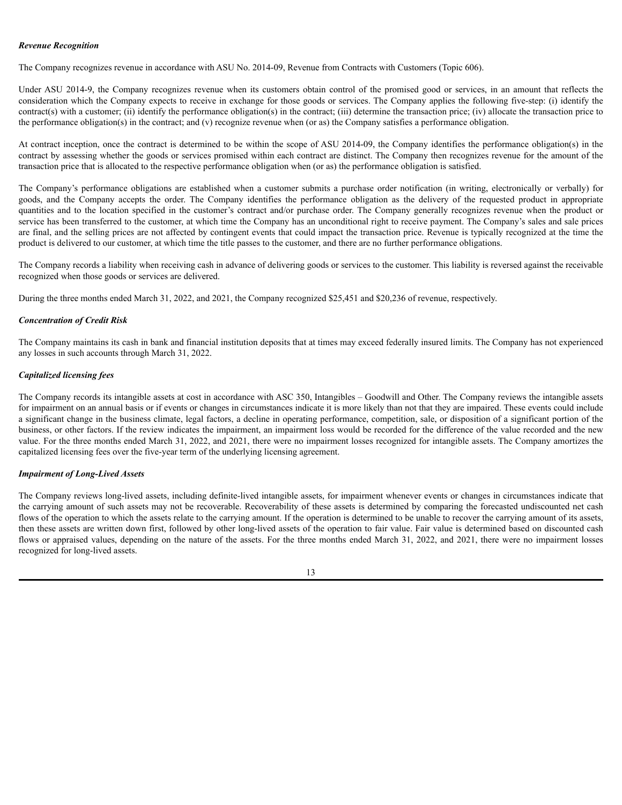#### *Revenue Recognition*

The Company recognizes revenue in accordance with ASU No. 2014-09, Revenue from Contracts with Customers (Topic 606).

Under ASU 2014-9, the Company recognizes revenue when its customers obtain control of the promised good or services, in an amount that reflects the consideration which the Company expects to receive in exchange for those goods or services. The Company applies the following five-step: (i) identify the contract(s) with a customer; (ii) identify the performance obligation(s) in the contract; (iii) determine the transaction price; (iv) allocate the transaction price to the performance obligation(s) in the contract; and (v) recognize revenue when (or as) the Company satisfies a performance obligation.

At contract inception, once the contract is determined to be within the scope of ASU 2014-09, the Company identifies the performance obligation(s) in the contract by assessing whether the goods or services promised within each contract are distinct. The Company then recognizes revenue for the amount of the transaction price that is allocated to the respective performance obligation when (or as) the performance obligation is satisfied.

The Company's performance obligations are established when a customer submits a purchase order notification (in writing, electronically or verbally) for goods, and the Company accepts the order. The Company identifies the performance obligation as the delivery of the requested product in appropriate quantities and to the location specified in the customer's contract and/or purchase order. The Company generally recognizes revenue when the product or service has been transferred to the customer, at which time the Company has an unconditional right to receive payment. The Company's sales and sale prices are final, and the selling prices are not affected by contingent events that could impact the transaction price. Revenue is typically recognized at the time the product is delivered to our customer, at which time the title passes to the customer, and there are no further performance obligations.

The Company records a liability when receiving cash in advance of delivering goods or services to the customer. This liability is reversed against the receivable recognized when those goods or services are delivered.

During the three months ended March 31, 2022, and 2021, the Company recognized \$25,451 and \$20,236 of revenue, respectively.

#### *Concentration of Credit Risk*

The Company maintains its cash in bank and financial institution deposits that at times may exceed federally insured limits. The Company has not experienced any losses in such accounts through March 31, 2022.

#### *Capitalized licensing fees*

The Company records its intangible assets at cost in accordance with ASC 350, Intangibles – Goodwill and Other. The Company reviews the intangible assets for impairment on an annual basis or if events or changes in circumstances indicate it is more likely than not that they are impaired. These events could include a significant change in the business climate, legal factors, a decline in operating performance, competition, sale, or disposition of a significant portion of the business, or other factors. If the review indicates the impairment, an impairment loss would be recorded for the difference of the value recorded and the new value. For the three months ended March 31, 2022, and 2021, there were no impairment losses recognized for intangible assets. The Company amortizes the capitalized licensing fees over the five-year term of the underlying licensing agreement.

#### *Impairment of Long-Lived Assets*

The Company reviews long-lived assets, including definite-lived intangible assets, for impairment whenever events or changes in circumstances indicate that the carrying amount of such assets may not be recoverable. Recoverability of these assets is determined by comparing the forecasted undiscounted net cash flows of the operation to which the assets relate to the carrying amount. If the operation is determined to be unable to recover the carrying amount of its assets, then these assets are written down first, followed by other long-lived assets of the operation to fair value. Fair value is determined based on discounted cash flows or appraised values, depending on the nature of the assets. For the three months ended March 31, 2022, and 2021, there were no impairment losses recognized for long-lived assets.

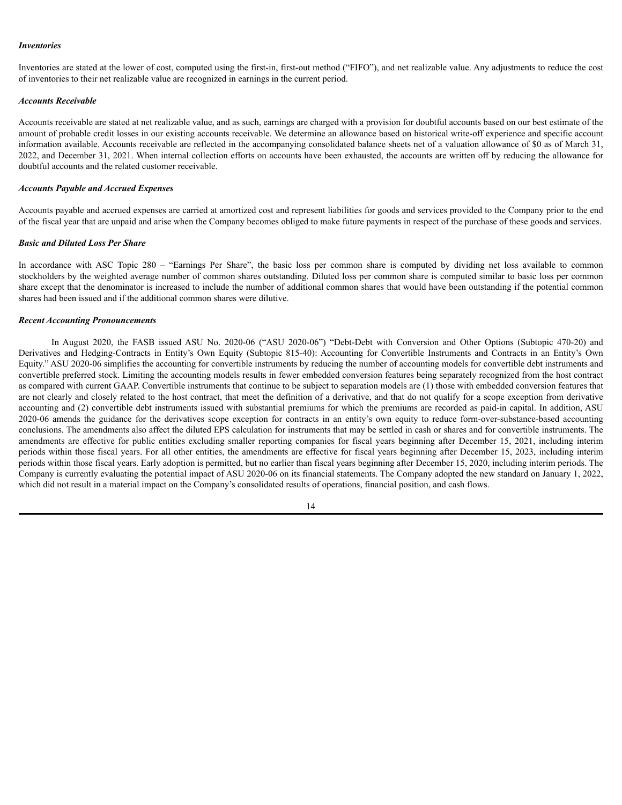#### *Inventories*

Inventories are stated at the lower of cost, computed using the first-in, first-out method ("FIFO"), and net realizable value. Any adjustments to reduce the cost of inventories to their net realizable value are recognized in earnings in the current period.

#### *Accounts Receivable*

Accounts receivable are stated at net realizable value, and as such, earnings are charged with a provision for doubtful accounts based on our best estimate of the amount of probable credit losses in our existing accounts receivable. We determine an allowance based on historical write-off experience and specific account information available. Accounts receivable are reflected in the accompanying consolidated balance sheets net of a valuation allowance of \$0 as of March 31, 2022, and December 31, 2021. When internal collection efforts on accounts have been exhausted, the accounts are written off by reducing the allowance for doubtful accounts and the related customer receivable.

#### *Accounts Payable and Accrued Expenses*

Accounts payable and accrued expenses are carried at amortized cost and represent liabilities for goods and services provided to the Company prior to the end of the fiscal year that are unpaid and arise when the Company becomes obliged to make future payments in respect of the purchase of these goods and services.

#### *Basic and Diluted Loss Per Share*

In accordance with ASC Topic 280 – "Earnings Per Share", the basic loss per common share is computed by dividing net loss available to common stockholders by the weighted average number of common shares outstanding. Diluted loss per common share is computed similar to basic loss per common share except that the denominator is increased to include the number of additional common shares that would have been outstanding if the potential common shares had been issued and if the additional common shares were dilutive.

#### *Recent Accounting Pronouncements*

In August 2020, the FASB issued ASU No. 2020-06 ("ASU 2020-06") "Debt-Debt with Conversion and Other Options (Subtopic 470-20) and Derivatives and Hedging-Contracts in Entity's Own Equity (Subtopic 815-40): Accounting for Convertible Instruments and Contracts in an Entity's Own Equity." ASU 2020-06 simplifies the accounting for convertible instruments by reducing the number of accounting models for convertible debt instruments and convertible preferred stock. Limiting the accounting models results in fewer embedded conversion features being separately recognized from the host contract as compared with current GAAP. Convertible instruments that continue to be subject to separation models are (1) those with embedded conversion features that are not clearly and closely related to the host contract, that meet the definition of a derivative, and that do not qualify for a scope exception from derivative accounting and (2) convertible debt instruments issued with substantial premiums for which the premiums are recorded as paid-in capital. In addition, ASU 2020-06 amends the guidance for the derivatives scope exception for contracts in an entity's own equity to reduce form-over-substance-based accounting conclusions. The amendments also affect the diluted EPS calculation for instruments that may be settled in cash or shares and for convertible instruments. The amendments are effective for public entities excluding smaller reporting companies for fiscal years beginning after December 15, 2021, including interim periods within those fiscal years. For all other entities, the amendments are effective for fiscal years beginning after December 15, 2023, including interim periods within those fiscal years. Early adoption is permitted, but no earlier than fiscal years beginning after December 15, 2020, including interim periods. The Company is currently evaluating the potential impact of ASU 2020-06 on its financial statements. The Company adopted the new standard on January 1, 2022, which did not result in a material impact on the Company's consolidated results of operations, financial position, and cash flows.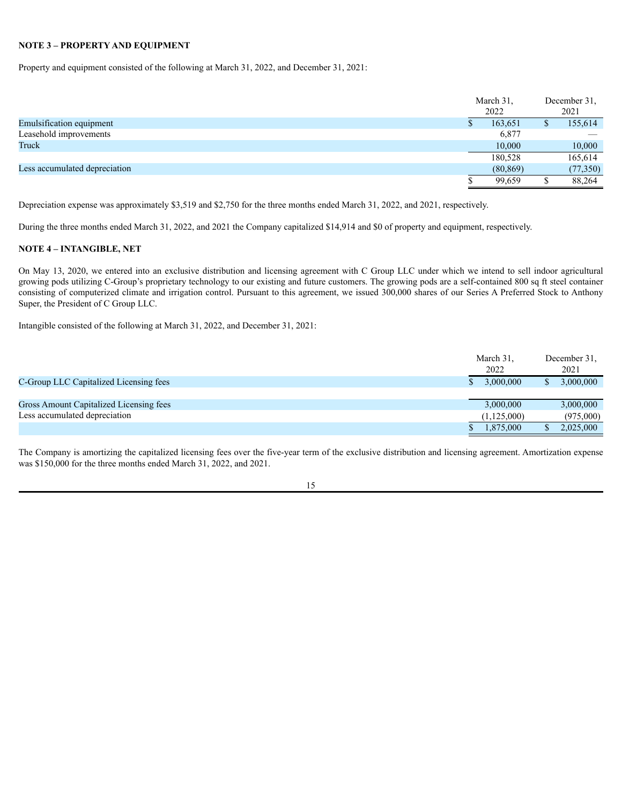#### **NOTE 3 – PROPERTY AND EQUIPMENT**

Property and equipment consisted of the following at March 31, 2022, and December 31, 2021:

|                               | March 31. |  | December 31, |
|-------------------------------|-----------|--|--------------|
|                               | 2022      |  | 2021         |
| Emulsification equipment      | 163,651   |  | 155,614      |
| Leasehold improvements        | 6,877     |  |              |
| Truck                         | 10.000    |  | 10,000       |
|                               | 180,528   |  | 165,614      |
| Less accumulated depreciation | (80, 869) |  | (77, 350)    |
|                               | 99.659    |  | 88,264       |

Depreciation expense was approximately \$3,519 and \$2,750 for the three months ended March 31, 2022, and 2021, respectively.

During the three months ended March 31, 2022, and 2021 the Company capitalized \$14,914 and \$0 of property and equipment, respectively.

#### **NOTE 4 – INTANGIBLE, NET**

On May 13, 2020, we entered into an exclusive distribution and licensing agreement with C Group LLC under which we intend to sell indoor agricultural growing pods utilizing C-Group's proprietary technology to our existing and future customers. The growing pods are a self-contained 800 sq ft steel container consisting of computerized climate and irrigation control. Pursuant to this agreement, we issued 300,000 shares of our Series A Preferred Stock to Anthony Super, the President of C Group LLC.

Intangible consisted of the following at March 31, 2022, and December 31, 2021:

|                                         | March 31.<br>2022 | December 31.<br>2021 |
|-----------------------------------------|-------------------|----------------------|
| C-Group LLC Capitalized Licensing fees  | 3.000.000         | 3,000,000            |
|                                         |                   |                      |
| Gross Amount Capitalized Licensing fees | 3,000,000         | 3,000,000            |
| Less accumulated depreciation           | (1,125,000)       | (975,000)            |
|                                         | 1,875,000         | 2,025,000            |

The Company is amortizing the capitalized licensing fees over the five-year term of the exclusive distribution and licensing agreement. Amortization expense was \$150,000 for the three months ended March 31, 2022, and 2021.

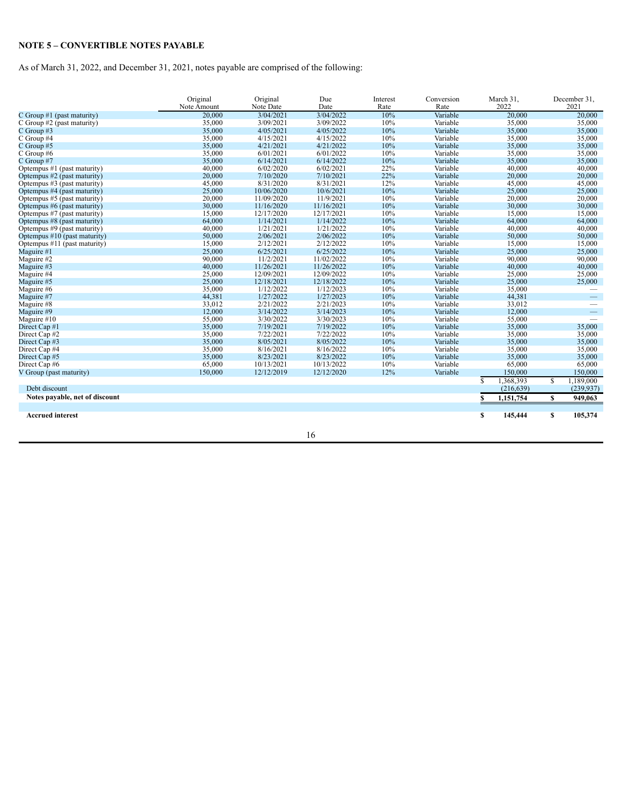### **NOTE 5 – CONVERTIBLE NOTES PAYABLE**

As of March 31, 2022, and December 31, 2021, notes payable are comprised of the following:

|                                | Original<br>Note Amount | Original<br>Note Date | Due<br>Date | Interest<br>Rate | Conversion<br>Rate |    | March 31,<br>2022 |    | December 31,<br>2021     |
|--------------------------------|-------------------------|-----------------------|-------------|------------------|--------------------|----|-------------------|----|--------------------------|
| C Group #1 (past maturity)     | 20,000                  | 3/04/2021             | 3/04/2022   | 10%              | Variable           |    | 20,000            |    | 20,000                   |
| C Group #2 (past maturity)     | 35,000                  | 3/09/2021             | 3/09/2022   | 10%              | Variable           |    | 35,000            |    | 35,000                   |
| $C$ Group #3                   | 35,000                  | 4/05/2021             | 4/05/2022   | 10%              | Variable           |    | 35,000            |    | 35,000                   |
| C Group #4                     | 35,000                  | 4/15/2021             | 4/15/2022   | 10%              | Variable           |    | 35,000            |    | 35,000                   |
| $C$ Group $#5$                 | 35,000                  | 4/21/2021             | 4/21/2022   | 10%              | Variable           |    | 35,000            |    | 35,000                   |
| C Group #6                     | 35,000                  | 6/01/2021             | 6/01/2022   | 10%              | Variable           |    | 35,000            |    | 35,000                   |
| C Group #7                     | 35,000                  | 6/14/2021             | 6/14/2022   | 10%              | Variable           |    | 35,000            |    | 35,000                   |
| Optempus $#1$ (past maturity)  | 40,000                  | 6/02/2020             | 6/02/2021   | 22%              | Variable           |    | 40,000            |    | 40,000                   |
| Optempus #2 (past maturity)    | 20,000                  | 7/10/2020             | 7/10/2021   | 22%              | Variable           |    | 20,000            |    | 20,000                   |
| Optempus #3 (past maturity)    | 45,000                  | 8/31/2020             | 8/31/2021   | 12%              | Variable           |    | 45,000            |    | 45,000                   |
| Optempus #4 (past maturity)    | 25,000                  | 10/06/2020            | 10/6/2021   | 10%              | Variable           |    | 25,000            |    | 25,000                   |
| Optempus #5 (past maturity)    | 20,000                  | 11/09/2020            | 11/9/2021   | 10%              | Variable           |    | 20,000            |    | 20,000                   |
| Optempus #6 (past maturity)    | 30,000                  | 11/16/2020            | 11/16/2021  | 10%              | Variable           |    | 30,000            |    | 30,000                   |
| Optempus #7 (past maturity)    | 15,000                  | 12/17/2020            | 12/17/2021  | 10%              | Variable           |    | 15,000            |    | 15,000                   |
| Optempus #8 (past maturity)    | 64,000                  | 1/14/2021             | 1/14/2022   | 10%              | Variable           |    | 64,000            |    | 64,000                   |
| Optempus #9 (past maturity)    | 40,000                  | 1/21/2021             | 1/21/2022   | 10%              | Variable           |    | 40,000            |    | 40,000                   |
| Optempus #10 (past maturity)   | 50,000                  | 2/06/2021             | 2/06/2022   | 10%              | Variable           |    | 50,000            |    | 50,000                   |
| Optempus #11 (past maturity)   | 15,000                  | 2/12/2021             | 2/12/2022   | 10%              | Variable           |    | 15,000            |    | 15,000                   |
| Maguire #1                     | 25,000                  | 6/25/2021             | 6/25/2022   | 10%              | Variable           |    | 25,000            |    | 25,000                   |
| Maguire #2                     | 90,000                  | 11/2/2021             | 11/02/2022  | 10%              | Variable           |    | 90,000            |    | 90,000                   |
| Maguire #3                     | 40,000                  | 11/26/2021            | 11/26/2022  | 10%              | Variable           |    | 40,000            |    | 40,000                   |
| Maguire #4                     | 25,000                  | 12/09/2021            | 12/09/2022  | 10%              | Variable           |    | 25,000            |    | 25,000                   |
| Maguire #5                     | 25,000                  | 12/18/2021            | 12/18/2022  | 10%              | Variable           |    | 25,000            |    | 25,000                   |
| Maguire #6                     | 35,000                  | 1/12/2022             | 1/12/2023   | 10%              | Variable           |    | 35,000            |    |                          |
| Maguire #7                     | 44,381                  | 1/27/2022             | 1/27/2023   | 10%              | Variable           |    | 44,381            |    | $\overline{\phantom{0}}$ |
| Maguire #8                     | 33,012                  | 2/21/2022             | 2/21/2023   | 10%              | Variable           |    | 33,012            |    |                          |
| Maguire #9                     | 12,000                  | 3/14/2022             | 3/14/2023   | 10%              | Variable           |    | 12,000            |    | $\qquad \qquad -$        |
| Maguire #10                    | 55,000                  | 3/30/2022             | 3/30/2023   | 10%              | Variable           |    | 55,000            |    |                          |
| Direct Cap <sup>#1</sup>       | 35,000                  | 7/19/2021             | 7/19/2022   | 10%              | Variable           |    | 35,000            |    | 35,000                   |
| Direct Cap <sup>#2</sup>       | 35,000                  | 7/22/2021             | 7/22/2022   | 10%              | Variable           |    | 35,000            |    | 35,000                   |
| Direct Cap <sup>#3</sup>       | 35,000                  | 8/05/2021             | 8/05/2022   | 10%              | Variable           |    | 35,000            |    | 35,000                   |
| Direct Cap #4                  | 35,000                  | 8/16/2021             | 8/16/2022   | 10%              | Variable           |    | 35,000            |    | 35,000                   |
| Direct Cap <sup>#5</sup>       | 35,000                  | 8/23/2021             | 8/23/2022   | 10%              | Variable           |    | 35,000            |    | 35,000                   |
| Direct Cap #6                  | 65,000                  | 10/13/2021            | 10/13/2022  | 10%              | Variable           |    | 65,000            |    | 65,000                   |
| V Group (past maturity)        | 150,000                 | 12/12/2019            | 12/12/2020  | 12%              | Variable           |    | 150,000           |    | 150,000                  |
|                                |                         |                       |             |                  |                    | \$ | .368,393          | \$ | ,189,000                 |
| Debt discount                  |                         |                       |             |                  |                    |    | (216.639)         |    | (239, 937)               |
| Notes payable, net of discount |                         |                       |             |                  |                    | S  | 1,151,754         | S  | 949,063                  |
|                                |                         |                       |             |                  |                    |    |                   |    |                          |
| <b>Accrued</b> interest        |                         |                       |             |                  |                    | S  | 145,444           | S  | 105,374                  |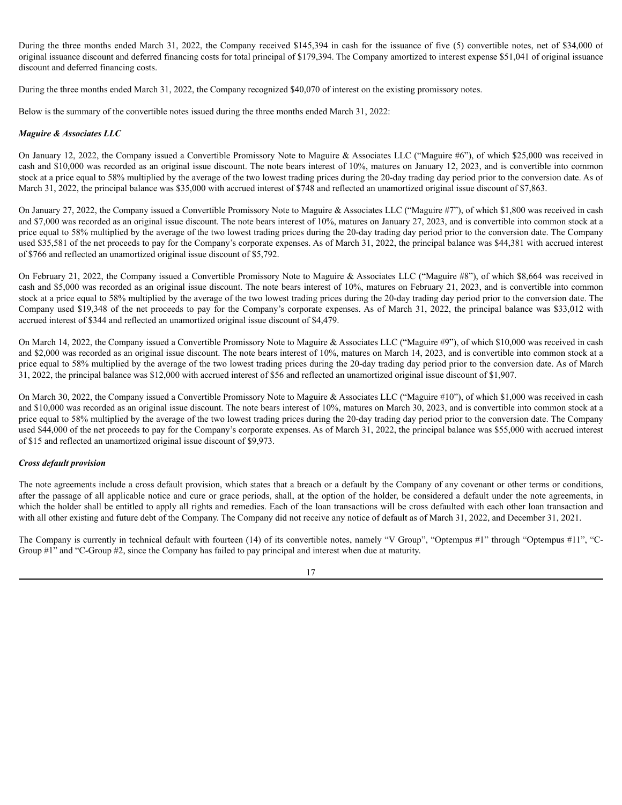During the three months ended March 31, 2022, the Company received \$145,394 in cash for the issuance of five (5) convertible notes, net of \$34,000 of original issuance discount and deferred financing costs for total principal of \$179,394. The Company amortized to interest expense \$51,041 of original issuance discount and deferred financing costs.

During the three months ended March 31, 2022, the Company recognized \$40,070 of interest on the existing promissory notes.

Below is the summary of the convertible notes issued during the three months ended March 31, 2022:

#### *Maguire & Associates LLC*

On January 12, 2022, the Company issued a Convertible Promissory Note to Maguire & Associates LLC ("Maguire #6"), of which \$25,000 was received in cash and \$10,000 was recorded as an original issue discount. The note bears interest of 10%, matures on January 12, 2023, and is convertible into common stock at a price equal to 58% multiplied by the average of the two lowest trading prices during the 20-day trading day period prior to the conversion date. As of March 31, 2022, the principal balance was \$35,000 with accrued interest of \$748 and reflected an unamortized original issue discount of \$7,863.

On January 27, 2022, the Company issued a Convertible Promissory Note to Maguire & Associates LLC ("Maguire #7"), of which \$1,800 was received in cash and \$7,000 was recorded as an original issue discount. The note bears interest of 10%, matures on January 27, 2023, and is convertible into common stock at a price equal to 58% multiplied by the average of the two lowest trading prices during the 20-day trading day period prior to the conversion date. The Company used \$35,581 of the net proceeds to pay for the Company's corporate expenses. As of March 31, 2022, the principal balance was \$44,381 with accrued interest of \$766 and reflected an unamortized original issue discount of \$5,792.

On February 21, 2022, the Company issued a Convertible Promissory Note to Maguire & Associates LLC ("Maguire #8"), of which \$8,664 was received in cash and \$5,000 was recorded as an original issue discount. The note bears interest of 10%, matures on February 21, 2023, and is convertible into common stock at a price equal to 58% multiplied by the average of the two lowest trading prices during the 20-day trading day period prior to the conversion date. The Company used \$19,348 of the net proceeds to pay for the Company's corporate expenses. As of March 31, 2022, the principal balance was \$33,012 with accrued interest of \$344 and reflected an unamortized original issue discount of \$4,479.

On March 14, 2022, the Company issued a Convertible Promissory Note to Maguire & Associates LLC ("Maguire #9"), of which \$10,000 was received in cash and \$2,000 was recorded as an original issue discount. The note bears interest of 10%, matures on March 14, 2023, and is convertible into common stock at a price equal to 58% multiplied by the average of the two lowest trading prices during the 20-day trading day period prior to the conversion date. As of March 31, 2022, the principal balance was \$12,000 with accrued interest of \$56 and reflected an unamortized original issue discount of \$1,907.

On March 30, 2022, the Company issued a Convertible Promissory Note to Maguire & Associates LLC ("Maguire #10"), of which \$1,000 was received in cash and \$10,000 was recorded as an original issue discount. The note bears interest of 10%, matures on March 30, 2023, and is convertible into common stock at a price equal to 58% multiplied by the average of the two lowest trading prices during the 20-day trading day period prior to the conversion date. The Company used \$44,000 of the net proceeds to pay for the Company's corporate expenses. As of March 31, 2022, the principal balance was \$55,000 with accrued interest of \$15 and reflected an unamortized original issue discount of \$9,973.

#### *Cross default provision*

The note agreements include a cross default provision, which states that a breach or a default by the Company of any covenant or other terms or conditions, after the passage of all applicable notice and cure or grace periods, shall, at the option of the holder, be considered a default under the note agreements, in which the holder shall be entitled to apply all rights and remedies. Each of the loan transactions will be cross defaulted with each other loan transaction and with all other existing and future debt of the Company. The Company did not receive any notice of default as of March 31, 2022, and December 31, 2021.

The Company is currently in technical default with fourteen (14) of its convertible notes, namely "V Group", "Optempus #1" through "Optempus #11", "C-Group #1" and "C-Group #2, since the Company has failed to pay principal and interest when due at maturity.

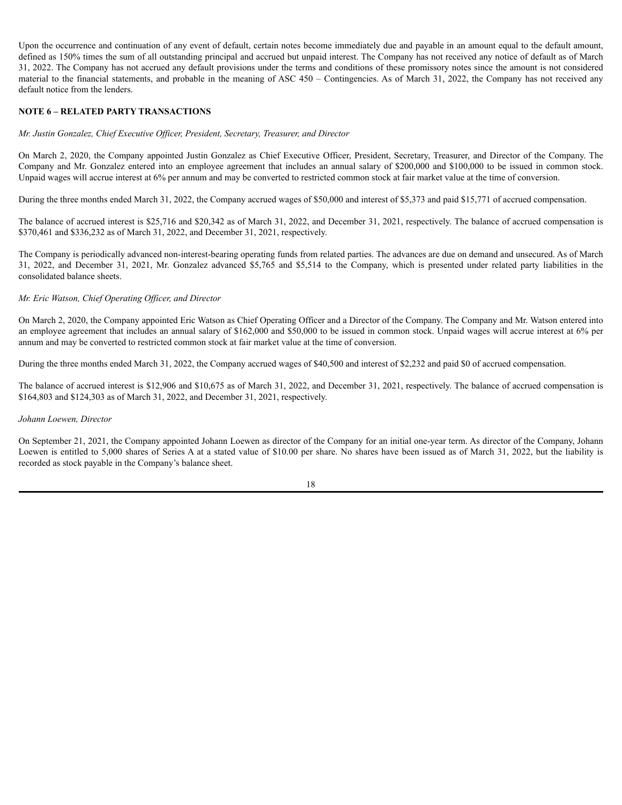Upon the occurrence and continuation of any event of default, certain notes become immediately due and payable in an amount equal to the default amount, defined as 150% times the sum of all outstanding principal and accrued but unpaid interest. The Company has not received any notice of default as of March 31, 2022. The Company has not accrued any default provisions under the terms and conditions of these promissory notes since the amount is not considered material to the financial statements, and probable in the meaning of ASC 450 – Contingencies. As of March 31, 2022, the Company has not received any default notice from the lenders.

#### **NOTE 6 – RELATED PARTY TRANSACTIONS**

#### *Mr. Justin Gonzalez, Chief Executive Of icer, President, Secretary, Treasurer, and Director*

On March 2, 2020, the Company appointed Justin Gonzalez as Chief Executive Officer, President, Secretary, Treasurer, and Director of the Company. The Company and Mr. Gonzalez entered into an employee agreement that includes an annual salary of \$200,000 and \$100,000 to be issued in common stock. Unpaid wages will accrue interest at 6% per annum and may be converted to restricted common stock at fair market value at the time of conversion.

During the three months ended March 31, 2022, the Company accrued wages of \$50,000 and interest of \$5,373 and paid \$15,771 of accrued compensation.

The balance of accrued interest is \$25,716 and \$20,342 as of March 31, 2022, and December 31, 2021, respectively. The balance of accrued compensation is \$370,461 and \$336,232 as of March 31, 2022, and December 31, 2021, respectively.

The Company is periodically advanced non-interest-bearing operating funds from related parties. The advances are due on demand and unsecured. As of March 31, 2022, and December 31, 2021, Mr. Gonzalez advanced \$5,765 and \$5,514 to the Company, which is presented under related party liabilities in the consolidated balance sheets.

### *Mr. Eric Watson, Chief Operating Of icer, and Director*

On March 2, 2020, the Company appointed Eric Watson as Chief Operating Officer and a Director of the Company. The Company and Mr. Watson entered into an employee agreement that includes an annual salary of \$162,000 and \$50,000 to be issued in common stock. Unpaid wages will accrue interest at 6% per annum and may be converted to restricted common stock at fair market value at the time of conversion.

During the three months ended March 31, 2022, the Company accrued wages of \$40,500 and interest of \$2,232 and paid \$0 of accrued compensation.

The balance of accrued interest is \$12,906 and \$10,675 as of March 31, 2022, and December 31, 2021, respectively. The balance of accrued compensation is \$164,803 and \$124,303 as of March 31, 2022, and December 31, 2021, respectively.

#### *Johann Loewen, Director*

On September 21, 2021, the Company appointed Johann Loewen as director of the Company for an initial one-year term. As director of the Company, Johann Loewen is entitled to 5,000 shares of Series A at a stated value of \$10.00 per share. No shares have been issued as of March 31, 2022, but the liability is recorded as stock payable in the Company's balance sheet.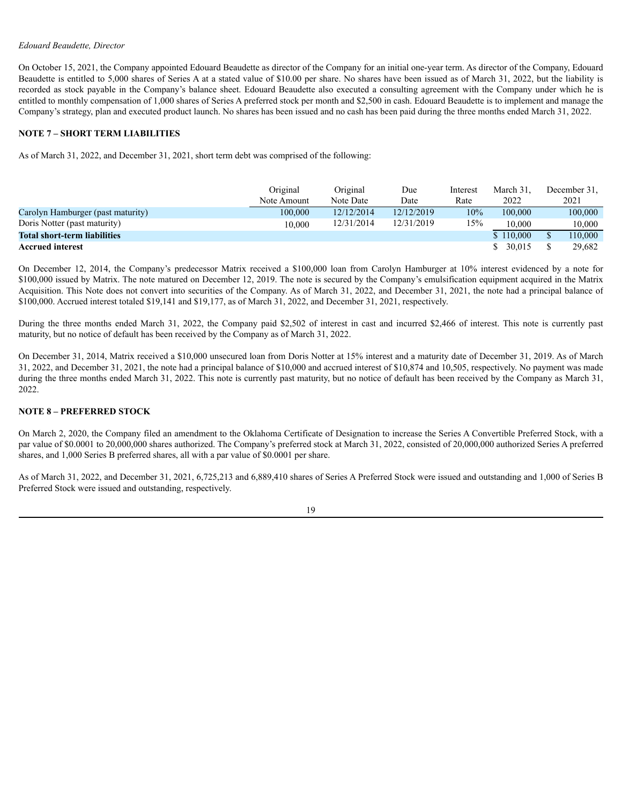#### *Edouard Beaudette, Director*

On October 15, 2021, the Company appointed Edouard Beaudette as director of the Company for an initial one-year term. As director of the Company, Edouard Beaudette is entitled to 5,000 shares of Series A at a stated value of \$10.00 per share. No shares have been issued as of March 31, 2022, but the liability is recorded as stock payable in the Company's balance sheet. Edouard Beaudette also executed a consulting agreement with the Company under which he is entitled to monthly compensation of 1,000 shares of Series A preferred stock per month and \$2,500 in cash. Edouard Beaudette is to implement and manage the Company's strategy, plan and executed product launch. No shares has been issued and no cash has been paid during the three months ended March 31, 2022.

#### **NOTE 7 – SHORT TERM LIABILITIES**

As of March 31, 2022, and December 31, 2021, short term debt was comprised of the following:

|                                     | Original    | Original   | Due        | Interest | March 31  | December 31. |
|-------------------------------------|-------------|------------|------------|----------|-----------|--------------|
|                                     | Note Amount | Note Date  | Date       | Rate     | 2022      | 2021         |
| Carolyn Hamburger (past maturity)   | 100.000     | 12/12/2014 | 12/12/2019 | 10%      | 100,000   | 100,000      |
| Doris Notter (past maturity)        | 10.000      | 12/31/2014 | 12/31/2019 | 15%      | 10.000    | 10.000       |
| <b>Total short-term liabilities</b> |             |            |            |          | \$110,000 | 110.000      |
| Accrued interest                    |             |            |            |          | 30.015    | 29,682       |

On December 12, 2014, the Company's predecessor Matrix received a \$100,000 loan from Carolyn Hamburger at 10% interest evidenced by a note for \$100,000 issued by Matrix. The note matured on December 12, 2019. The note is secured by the Company's emulsification equipment acquired in the Matrix Acquisition. This Note does not convert into securities of the Company. As of March 31, 2022, and December 31, 2021, the note had a principal balance of \$100,000. Accrued interest totaled \$19,141 and \$19,177, as of March 31, 2022, and December 31, 2021, respectively.

During the three months ended March 31, 2022, the Company paid \$2,502 of interest in cast and incurred \$2,466 of interest. This note is currently past maturity, but no notice of default has been received by the Company as of March 31, 2022.

On December 31, 2014, Matrix received a \$10,000 unsecured loan from Doris Notter at 15% interest and a maturity date of December 31, 2019. As of March 31, 2022, and December 31, 2021, the note had a principal balance of \$10,000 and accrued interest of \$10,874 and 10,505, respectively. No payment was made during the three months ended March 31, 2022. This note is currently past maturity, but no notice of default has been received by the Company as March 31, 2022.

#### **NOTE 8 – PREFERRED STOCK**

On March 2, 2020, the Company filed an amendment to the Oklahoma Certificate of Designation to increase the Series A Convertible Preferred Stock, with a par value of \$0.0001 to 20,000,000 shares authorized. The Company's preferred stock at March 31, 2022, consisted of 20,000,000 authorized Series A preferred shares, and 1,000 Series B preferred shares, all with a par value of \$0.0001 per share.

As of March 31, 2022, and December 31, 2021, 6,725,213 and 6,889,410 shares of Series A Preferred Stock were issued and outstanding and 1,000 of Series B Preferred Stock were issued and outstanding, respectively.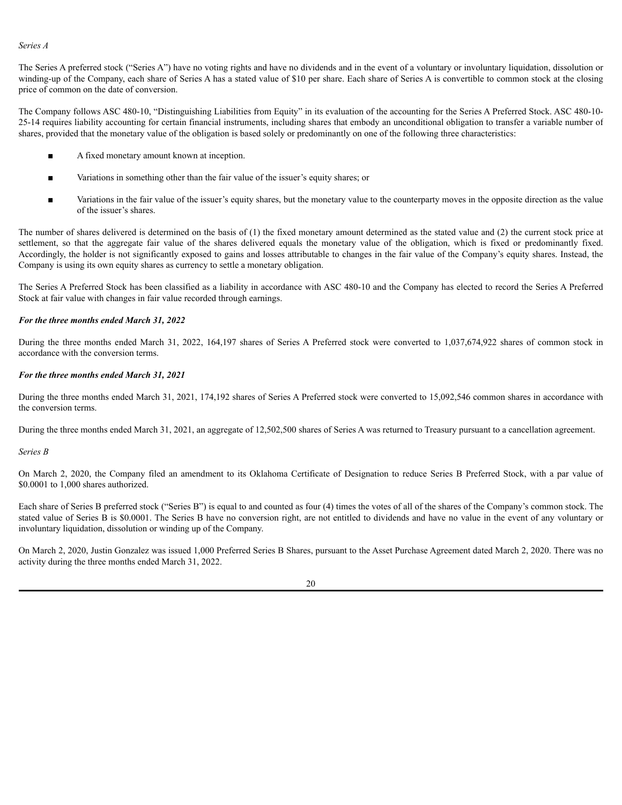#### *Series A*

The Series A preferred stock ("Series A") have no voting rights and have no dividends and in the event of a voluntary or involuntary liquidation, dissolution or winding-up of the Company, each share of Series A has a stated value of \$10 per share. Each share of Series A is convertible to common stock at the closing price of common on the date of conversion.

The Company follows ASC 480-10, "Distinguishing Liabilities from Equity" in its evaluation of the accounting for the Series A Preferred Stock. ASC 480-10- 25-14 requires liability accounting for certain financial instruments, including shares that embody an unconditional obligation to transfer a variable number of shares, provided that the monetary value of the obligation is based solely or predominantly on one of the following three characteristics:

- A fixed monetary amount known at inception.
- Variations in something other than the fair value of the issuer's equity shares; or
- Variations in the fair value of the issuer's equity shares, but the monetary value to the counterparty moves in the opposite direction as the value of the issuer's shares.

The number of shares delivered is determined on the basis of (1) the fixed monetary amount determined as the stated value and (2) the current stock price at settlement, so that the aggregate fair value of the shares delivered equals the monetary value of the obligation, which is fixed or predominantly fixed. Accordingly, the holder is not significantly exposed to gains and losses attributable to changes in the fair value of the Company's equity shares. Instead, the Company is using its own equity shares as currency to settle a monetary obligation.

The Series A Preferred Stock has been classified as a liability in accordance with ASC 480-10 and the Company has elected to record the Series A Preferred Stock at fair value with changes in fair value recorded through earnings.

#### *For the three months ended March 31, 2022*

During the three months ended March 31, 2022, 164,197 shares of Series A Preferred stock were converted to 1,037,674,922 shares of common stock in accordance with the conversion terms.

#### *For the three months ended March 31, 2021*

During the three months ended March 31, 2021, 174,192 shares of Series A Preferred stock were converted to 15,092,546 common shares in accordance with the conversion terms.

During the three months ended March 31, 2021, an aggregate of 12,502,500 shares of Series A was returned to Treasury pursuant to a cancellation agreement.

#### *Series B*

On March 2, 2020, the Company filed an amendment to its Oklahoma Certificate of Designation to reduce Series B Preferred Stock, with a par value of \$0.0001 to 1,000 shares authorized.

Each share of Series B preferred stock ("Series B") is equal to and counted as four (4) times the votes of all of the shares of the Company's common stock. The stated value of Series B is \$0.0001. The Series B have no conversion right, are not entitled to dividends and have no value in the event of any voluntary or involuntary liquidation, dissolution or winding up of the Company.

On March 2, 2020, Justin Gonzalez was issued 1,000 Preferred Series B Shares, pursuant to the Asset Purchase Agreement dated March 2, 2020. There was no activity during the three months ended March 31, 2022.

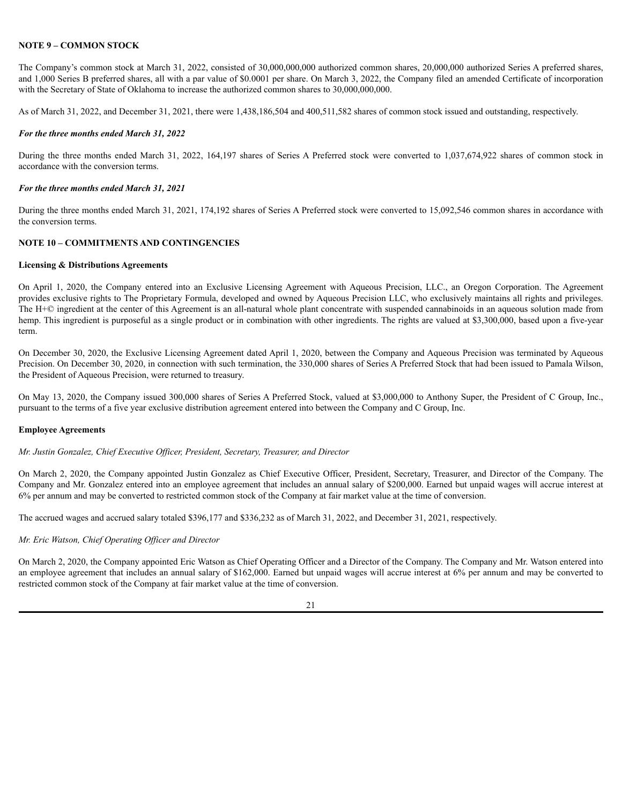#### **NOTE 9 – COMMON STOCK**

The Company's common stock at March 31, 2022, consisted of 30,000,000,000 authorized common shares, 20,000,000 authorized Series A preferred shares, and 1,000 Series B preferred shares, all with a par value of \$0.0001 per share. On March 3, 2022, the Company filed an amended Certificate of incorporation with the Secretary of State of Oklahoma to increase the authorized common shares to 30,000,000,000.

As of March 31, 2022, and December 31, 2021, there were 1,438,186,504 and 400,511,582 shares of common stock issued and outstanding, respectively.

#### *For the three months ended March 31, 2022*

During the three months ended March 31, 2022, 164,197 shares of Series A Preferred stock were converted to 1,037,674,922 shares of common stock in accordance with the conversion terms.

#### *For the three months ended March 31, 2021*

During the three months ended March 31, 2021, 174,192 shares of Series A Preferred stock were converted to 15,092,546 common shares in accordance with the conversion terms.

#### **NOTE 10 – COMMITMENTS AND CONTINGENCIES**

#### **Licensing & Distributions Agreements**

On April 1, 2020, the Company entered into an Exclusive Licensing Agreement with Aqueous Precision, LLC., an Oregon Corporation. The Agreement provides exclusive rights to The Proprietary Formula, developed and owned by Aqueous Precision LLC, who exclusively maintains all rights and privileges. The H+© ingredient at the center of this Agreement is an all-natural whole plant concentrate with suspended cannabinoids in an aqueous solution made from hemp. This ingredient is purposeful as a single product or in combination with other ingredients. The rights are valued at \$3,300,000, based upon a five-year term.

On December 30, 2020, the Exclusive Licensing Agreement dated April 1, 2020, between the Company and Aqueous Precision was terminated by Aqueous Precision. On December 30, 2020, in connection with such termination, the 330,000 shares of Series A Preferred Stock that had been issued to Pamala Wilson, the President of Aqueous Precision, were returned to treasury.

On May 13, 2020, the Company issued 300,000 shares of Series A Preferred Stock, valued at \$3,000,000 to Anthony Super, the President of C Group, Inc., pursuant to the terms of a five year exclusive distribution agreement entered into between the Company and C Group, Inc.

#### **Employee Agreements**

*Mr. Justin Gonzalez, Chief Executive Of icer, President, Secretary, Treasurer, and Director*

On March 2, 2020, the Company appointed Justin Gonzalez as Chief Executive Officer, President, Secretary, Treasurer, and Director of the Company. The Company and Mr. Gonzalez entered into an employee agreement that includes an annual salary of \$200,000. Earned but unpaid wages will accrue interest at 6% per annum and may be converted to restricted common stock of the Company at fair market value at the time of conversion.

The accrued wages and accrued salary totaled \$396,177 and \$336,232 as of March 31, 2022, and December 31, 2021, respectively.

#### *Mr. Eric Watson, Chief Operating Of icer and Director*

On March 2, 2020, the Company appointed Eric Watson as Chief Operating Officer and a Director of the Company. The Company and Mr. Watson entered into an employee agreement that includes an annual salary of \$162,000. Earned but unpaid wages will accrue interest at 6% per annum and may be converted to restricted common stock of the Company at fair market value at the time of conversion.

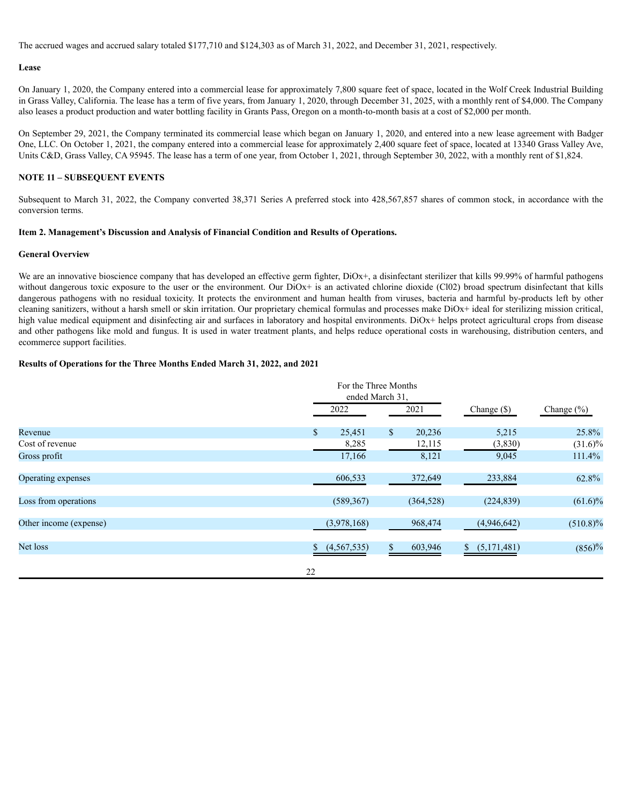The accrued wages and accrued salary totaled \$177,710 and \$124,303 as of March 31, 2022, and December 31, 2021, respectively.

#### **Lease**

On January 1, 2020, the Company entered into a commercial lease for approximately 7,800 square feet of space, located in the Wolf Creek Industrial Building in Grass Valley, California. The lease has a term of five years, from January 1, 2020, through December 31, 2025, with a monthly rent of \$4,000. The Company also leases a product production and water bottling facility in Grants Pass, Oregon on a month-to-month basis at a cost of \$2,000 per month.

On September 29, 2021, the Company terminated its commercial lease which began on January 1, 2020, and entered into a new lease agreement with Badger One, LLC. On October 1, 2021, the company entered into a commercial lease for approximately 2,400 square feet of space, located at 13340 Grass Valley Ave, Units C&D, Grass Valley, CA 95945. The lease has a term of one year, from October 1, 2021, through September 30, 2022, with a monthly rent of \$1,824.

#### **NOTE 11 – SUBSEQUENT EVENTS**

Subsequent to March 31, 2022, the Company converted 38,371 Series A preferred stock into 428,567,857 shares of common stock, in accordance with the conversion terms.

#### <span id="page-22-0"></span>**Item 2. Management's Discussion and Analysis of Financial Condition and Results of Operations.**

#### **General Overview**

We are an innovative bioscience company that has developed an effective germ fighter, DiOx+, a disinfectant sterilizer that kills 99.99% of harmful pathogens without dangerous toxic exposure to the user or the environment. Our  $DiOx+$  is an activated chlorine dioxide (Cl02) broad spectrum disinfectant that kills dangerous pathogens with no residual toxicity. It protects the environment and human health from viruses, bacteria and harmful by-products left by other cleaning sanitizers, without a harsh smell or skin irritation. Our proprietary chemical formulas and processes make DiOx+ ideal for sterilizing mission critical, high value medical equipment and disinfecting air and surfaces in laboratory and hospital environments. DiOx+ helps protect agricultural crops from disease and other pathogens like mold and fungus. It is used in water treatment plants, and helps reduce operational costs in warehousing, distribution centers, and ecommerce support facilities.

#### **Results of Operations for the Three Months Ended March 31, 2022, and 2021**

|                        |    | For the Three Months<br>ended March 31, |              |             |                   |             |
|------------------------|----|-----------------------------------------|--------------|-------------|-------------------|-------------|
|                        |    | 2021<br>2022                            |              | Change (\$) | Change $(\%)$     |             |
| Revenue                | \$ | 25,451                                  | $\mathbb{S}$ | 20,236      | 5,215             | 25.8%       |
| Cost of revenue        |    | 8,285                                   |              | 12,115      | (3,830)           | $(31.6)\%$  |
| Gross profit           |    | 17,166                                  |              | 8,121       | 9,045             | 111.4%      |
| Operating expenses     |    | 606,533                                 |              | 372,649     | 233,884           | 62.8%       |
| Loss from operations   |    | (589, 367)                              |              | (364, 528)  | (224, 839)        | $(61.6)\%$  |
| Other income (expense) |    | (3,978,168)                             |              | 968,474     | (4,946,642)       | $(510.8)\%$ |
| Net loss               |    | (4, 567, 535)                           | $\mathbf{s}$ | 603,946     | (5,171,481)<br>\$ | $(856)$ %   |
|                        | 22 |                                         |              |             |                   |             |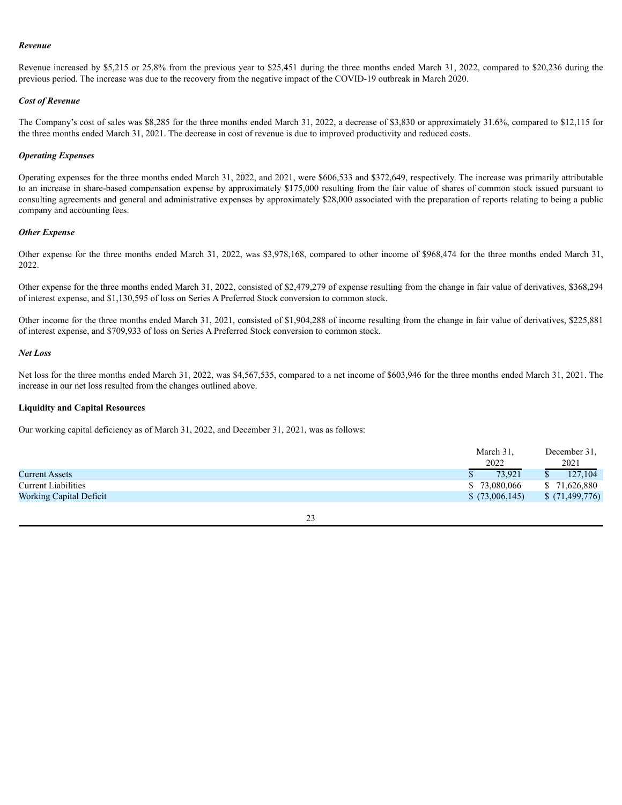#### *Revenue*

Revenue increased by \$5,215 or 25.8% from the previous year to \$25,451 during the three months ended March 31, 2022, compared to \$20,236 during the previous period. The increase was due to the recovery from the negative impact of the COVID-19 outbreak in March 2020.

#### *Cost of Revenue*

The Company's cost of sales was \$8,285 for the three months ended March 31, 2022, a decrease of \$3,830 or approximately 31.6%, compared to \$12,115 for the three months ended March 31, 2021. The decrease in cost of revenue is due to improved productivity and reduced costs.

#### *Operating Expenses*

Operating expenses for the three months ended March 31, 2022, and 2021, were \$606,533 and \$372,649, respectively. The increase was primarily attributable to an increase in share-based compensation expense by approximately \$175,000 resulting from the fair value of shares of common stock issued pursuant to consulting agreements and general and administrative expenses by approximately \$28,000 associated with the preparation of reports relating to being a public company and accounting fees.

#### *Other Expense*

Other expense for the three months ended March 31, 2022, was \$3,978,168, compared to other income of \$968,474 for the three months ended March 31, 2022.

Other expense for the three months ended March 31, 2022, consisted of \$2,479,279 of expense resulting from the change in fair value of derivatives, \$368,294 of interest expense, and \$1,130,595 of loss on Series A Preferred Stock conversion to common stock.

Other income for the three months ended March 31, 2021, consisted of \$1,904,288 of income resulting from the change in fair value of derivatives, \$225,881 of interest expense, and \$709,933 of loss on Series A Preferred Stock conversion to common stock.

#### *Net Loss*

Net loss for the three months ended March 31, 2022, was \$4,567,535, compared to a net income of \$603,946 for the three months ended March 31, 2021. The increase in our net loss resulted from the changes outlined above.

#### **Liquidity and Capital Resources**

Our working capital deficiency as of March 31, 2022, and December 31, 2021, was as follows:

|                         | March 31. |                | December 31. |                |  |
|-------------------------|-----------|----------------|--------------|----------------|--|
|                         |           | 2022           |              | 2021           |  |
| <b>Current Assets</b>   |           | 73.921         |              | 127,104        |  |
| Current Liabilities     |           | \$73,080,066   |              | \$71.626.880   |  |
| Working Capital Deficit |           | \$(73,006,145) |              | \$(71,499,776) |  |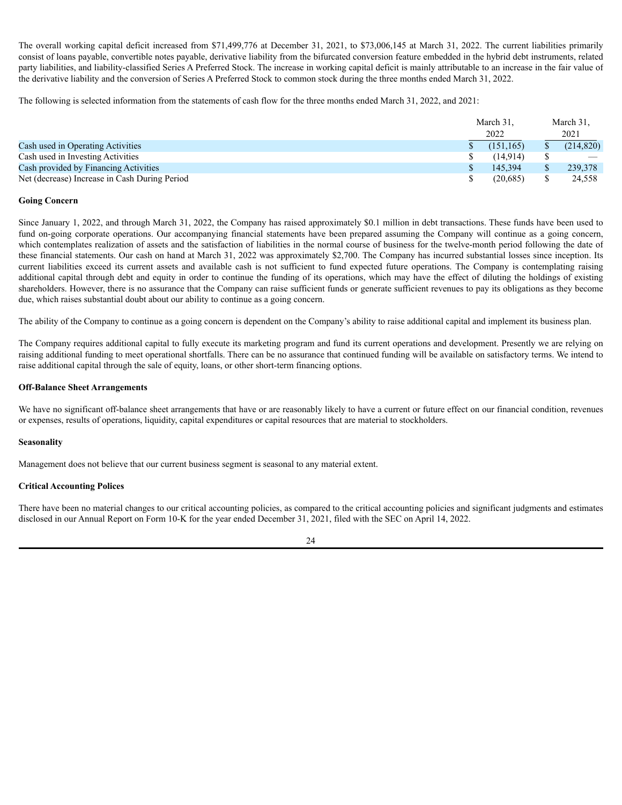The overall working capital deficit increased from \$71,499,776 at December 31, 2021, to \$73,006,145 at March 31, 2022. The current liabilities primarily consist of loans payable, convertible notes payable, derivative liability from the bifurcated conversion feature embedded in the hybrid debt instruments, related party liabilities, and liability-classified Series A Preferred Stock. The increase in working capital deficit is mainly attributable to an increase in the fair value of the derivative liability and the conversion of Series A Preferred Stock to common stock during the three months ended March 31, 2022.

The following is selected information from the statements of cash flow for the three months ended March 31, 2022, and 2021:

|                                               | March 31. |           | March 31.                     |  |
|-----------------------------------------------|-----------|-----------|-------------------------------|--|
|                                               |           | 2022      | 2021                          |  |
| Cash used in Operating Activities             |           | (151.165) | (214,820)                     |  |
| Cash used in Investing Activities             |           | (14.914)  | $\overbrace{\phantom{13333}}$ |  |
| Cash provided by Financing Activities         |           | 145.394   | 239,378                       |  |
| Net (decrease) Increase in Cash During Period |           | (20.685)  | 24,558                        |  |

#### **Going Concern**

Since January 1, 2022, and through March 31, 2022, the Company has raised approximately \$0.1 million in debt transactions. These funds have been used to fund on-going corporate operations. Our accompanying financial statements have been prepared assuming the Company will continue as a going concern, which contemplates realization of assets and the satisfaction of liabilities in the normal course of business for the twelve-month period following the date of these financial statements. Our cash on hand at March 31, 2022 was approximately \$2,700. The Company has incurred substantial losses since inception. Its current liabilities exceed its current assets and available cash is not sufficient to fund expected future operations. The Company is contemplating raising additional capital through debt and equity in order to continue the funding of its operations, which may have the effect of diluting the holdings of existing shareholders. However, there is no assurance that the Company can raise sufficient funds or generate sufficient revenues to pay its obligations as they become due, which raises substantial doubt about our ability to continue as a going concern.

The ability of the Company to continue as a going concern is dependent on the Company's ability to raise additional capital and implement its business plan.

The Company requires additional capital to fully execute its marketing program and fund its current operations and development. Presently we are relying on raising additional funding to meet operational shortfalls. There can be no assurance that continued funding will be available on satisfactory terms. We intend to raise additional capital through the sale of equity, loans, or other short-term financing options.

#### **Off-Balance Sheet Arrangements**

We have no significant off-balance sheet arrangements that have or are reasonably likely to have a current or future effect on our financial condition, revenues or expenses, results of operations, liquidity, capital expenditures or capital resources that are material to stockholders.

#### **Seasonality**

Management does not believe that our current business segment is seasonal to any material extent.

#### **Critical Accounting Polices**

There have been no material changes to our critical accounting policies, as compared to the critical accounting policies and significant judgments and estimates disclosed in our Annual Report on Form 10-K for the year ended December 31, 2021, filed with the SEC on April 14, 2022.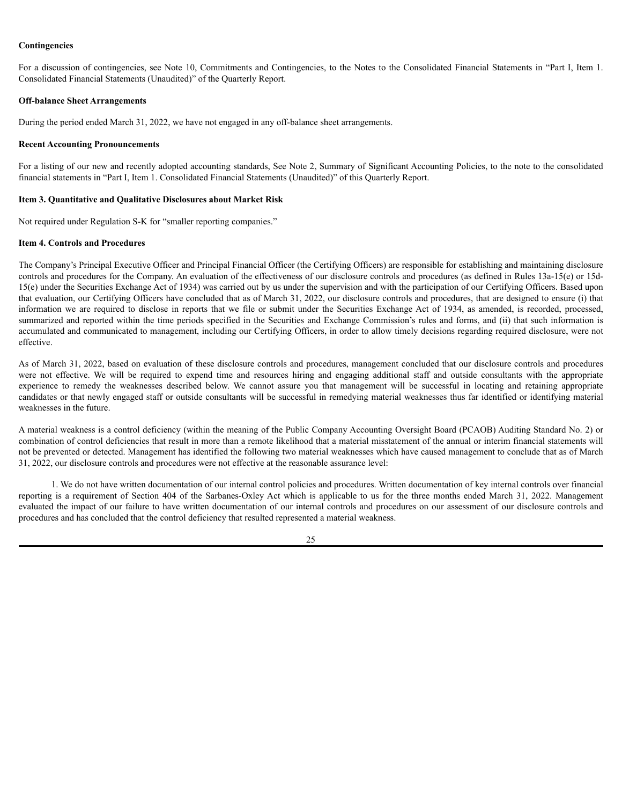#### **Contingencies**

For a discussion of contingencies, see Note 10, Commitments and Contingencies, to the Notes to the Consolidated Financial Statements in "Part I, Item 1. Consolidated Financial Statements (Unaudited)" of the Quarterly Report.

#### **Off-balance Sheet Arrangements**

During the period ended March 31, 2022, we have not engaged in any off-balance sheet arrangements.

#### **Recent Accounting Pronouncements**

For a listing of our new and recently adopted accounting standards, See Note 2, Summary of Significant Accounting Policies, to the note to the consolidated financial statements in "Part I, Item 1. Consolidated Financial Statements (Unaudited)" of this Quarterly Report.

#### **Item 3. Quantitative and Qualitative Disclosures about Market Risk**

Not required under Regulation S-K for "smaller reporting companies."

#### **Item 4. Controls and Procedures**

The Company's Principal Executive Officer and Principal Financial Officer (the Certifying Officers) are responsible for establishing and maintaining disclosure controls and procedures for the Company. An evaluation of the effectiveness of our disclosure controls and procedures (as defined in Rules 13a-15(e) or 15d-15(e) under the Securities Exchange Act of 1934) was carried out by us under the supervision and with the participation of our Certifying Officers. Based upon that evaluation, our Certifying Officers have concluded that as of March 31, 2022, our disclosure controls and procedures, that are designed to ensure (i) that information we are required to disclose in reports that we file or submit under the Securities Exchange Act of 1934, as amended, is recorded, processed, summarized and reported within the time periods specified in the Securities and Exchange Commission's rules and forms, and (ii) that such information is accumulated and communicated to management, including our Certifying Officers, in order to allow timely decisions regarding required disclosure, were not effective.

As of March 31, 2022, based on evaluation of these disclosure controls and procedures, management concluded that our disclosure controls and procedures were not effective. We will be required to expend time and resources hiring and engaging additional staff and outside consultants with the appropriate experience to remedy the weaknesses described below. We cannot assure you that management will be successful in locating and retaining appropriate candidates or that newly engaged staff or outside consultants will be successful in remedying material weaknesses thus far identified or identifying material weaknesses in the future.

A material weakness is a control deficiency (within the meaning of the Public Company Accounting Oversight Board (PCAOB) Auditing Standard No. 2) or combination of control deficiencies that result in more than a remote likelihood that a material misstatement of the annual or interim financial statements will not be prevented or detected. Management has identified the following two material weaknesses which have caused management to conclude that as of March 31, 2022, our disclosure controls and procedures were not effective at the reasonable assurance level:

1. We do not have written documentation of our internal control policies and procedures. Written documentation of key internal controls over financial reporting is a requirement of Section 404 of the Sarbanes-Oxley Act which is applicable to us for the three months ended March 31, 2022. Management evaluated the impact of our failure to have written documentation of our internal controls and procedures on our assessment of our disclosure controls and procedures and has concluded that the control deficiency that resulted represented a material weakness.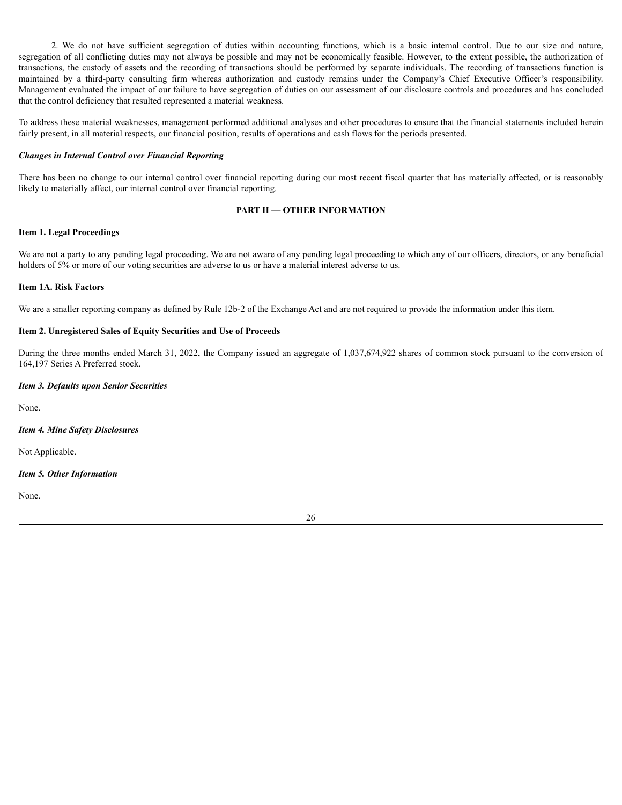2. We do not have sufficient segregation of duties within accounting functions, which is a basic internal control. Due to our size and nature, segregation of all conflicting duties may not always be possible and may not be economically feasible. However, to the extent possible, the authorization of transactions, the custody of assets and the recording of transactions should be performed by separate individuals. The recording of transactions function is maintained by a third-party consulting firm whereas authorization and custody remains under the Company's Chief Executive Officer's responsibility. Management evaluated the impact of our failure to have segregation of duties on our assessment of our disclosure controls and procedures and has concluded that the control deficiency that resulted represented a material weakness.

To address these material weaknesses, management performed additional analyses and other procedures to ensure that the financial statements included herein fairly present, in all material respects, our financial position, results of operations and cash flows for the periods presented.

#### *Changes in Internal Control over Financial Reporting*

There has been no change to our internal control over financial reporting during our most recent fiscal quarter that has materially affected, or is reasonably likely to materially affect, our internal control over financial reporting.

#### **PART II — OTHER INFORMATION**

#### <span id="page-26-0"></span>**Item 1. Legal Proceedings**

We are not a party to any pending legal proceeding. We are not aware of any pending legal proceeding to which any of our officers, directors, or any beneficial holders of 5% or more of our voting securities are adverse to us or have a material interest adverse to us.

#### **Item 1A. Risk Factors**

We are a smaller reporting company as defined by Rule 12b-2 of the Exchange Act and are not required to provide the information under this item.

#### <span id="page-26-1"></span>**Item 2. Unregistered Sales of Equity Securities and Use of Proceeds**

During the three months ended March 31, 2022, the Company issued an aggregate of 1,037,674,922 shares of common stock pursuant to the conversion of 164,197 Series A Preferred stock.

#### *Item 3. Defaults upon Senior Securities*

None.

<span id="page-26-2"></span>*Item 4. Mine Safety Disclosures*

Not Applicable.

#### *Item 5. Other Information*

None.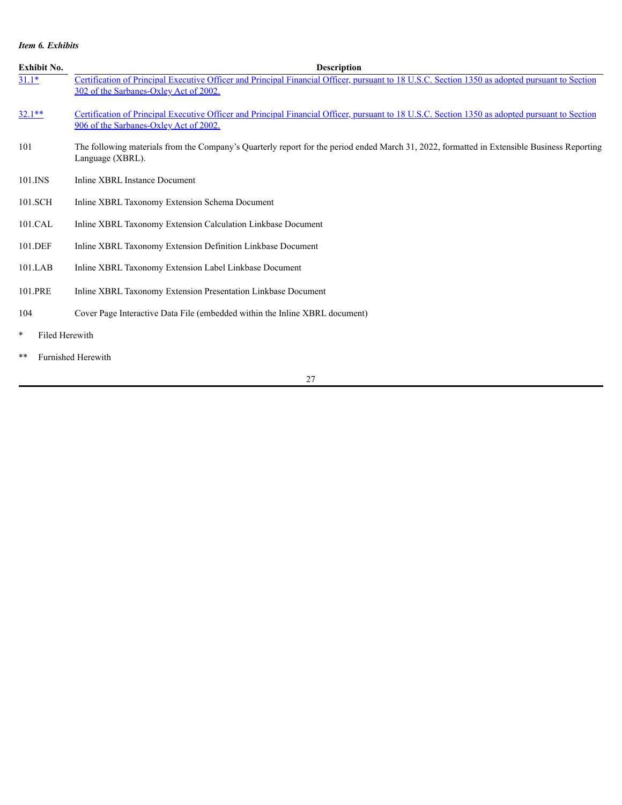#### <span id="page-27-0"></span>*Item 6. Exhibits*

| Exhibit No.              | <b>Description</b>                                                                                                                                                                        |
|--------------------------|-------------------------------------------------------------------------------------------------------------------------------------------------------------------------------------------|
| $31.1*$                  | Certification of Principal Executive Officer and Principal Financial Officer, pursuant to 18 U.S.C. Section 1350 as adopted pursuant to Section<br>302 of the Sarbanes-Oxley Act of 2002. |
| $32.1**$                 | Certification of Principal Executive Officer and Principal Financial Officer, pursuant to 18 U.S.C. Section 1350 as adopted pursuant to Section<br>906 of the Sarbanes-Oxley Act of 2002. |
| 101                      | The following materials from the Company's Quarterly report for the period ended March 31, 2022, formatted in Extensible Business Reporting<br>Language (XBRL).                           |
| 101.INS                  | Inline XBRL Instance Document                                                                                                                                                             |
| 101.SCH                  | Inline XBRL Taxonomy Extension Schema Document                                                                                                                                            |
| 101.CAL                  | Inline XBRL Taxonomy Extension Calculation Linkbase Document                                                                                                                              |
| 101.DEF                  | Inline XBRL Taxonomy Extension Definition Linkbase Document                                                                                                                               |
| $101$ .LAB               | Inline XBRL Taxonomy Extension Label Linkbase Document                                                                                                                                    |
| 101.PRE                  | Inline XBRL Taxonomy Extension Presentation Linkbase Document                                                                                                                             |
| 104                      | Cover Page Interactive Data File (embedded within the Inline XBRL document)                                                                                                               |
| $\ast$<br>Filed Herewith |                                                                                                                                                                                           |
| **                       | Furnished Herewith                                                                                                                                                                        |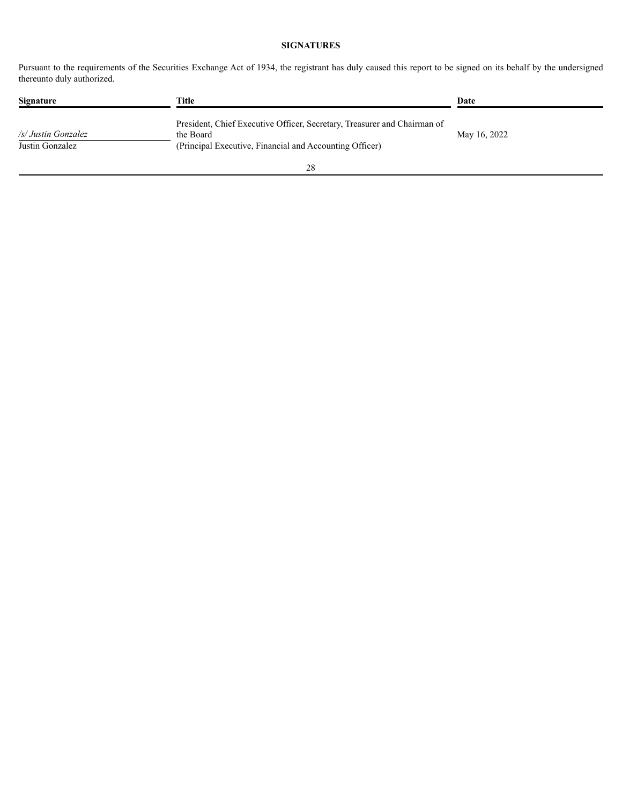#### <span id="page-28-0"></span>**SIGNATURES**

Pursuant to the requirements of the Securities Exchange Act of 1934, the registrant has duly caused this report to be signed on its behalf by the undersigned thereunto duly authorized.

| <b>Signature</b>    | Title                                                                                 | Date         |  |  |  |
|---------------------|---------------------------------------------------------------------------------------|--------------|--|--|--|
| /s/ Justin Gonzalez | President, Chief Executive Officer, Secretary, Treasurer and Chairman of<br>the Board | May 16, 2022 |  |  |  |
| Justin Gonzalez     | (Principal Executive, Financial and Accounting Officer)                               |              |  |  |  |
|                     | 28                                                                                    |              |  |  |  |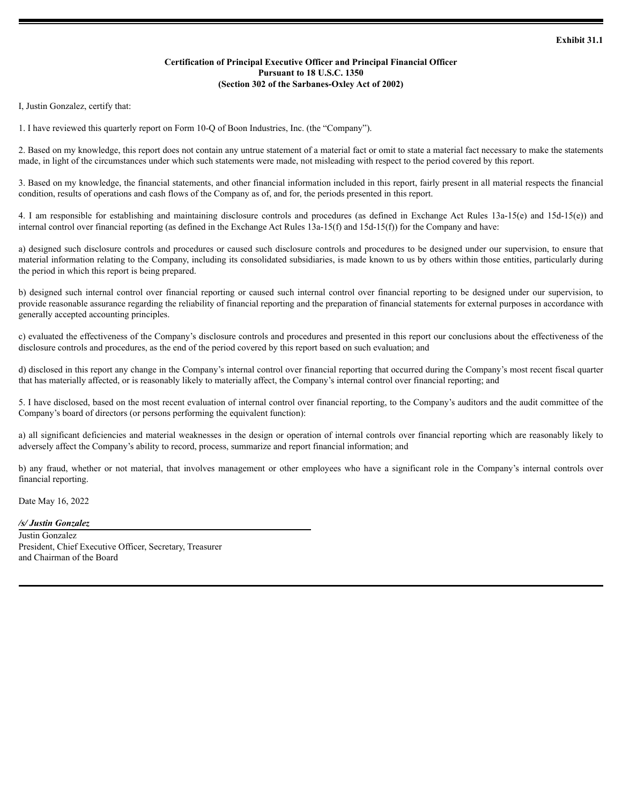#### **Certification of Principal Executive Officer and Principal Financial Officer Pursuant to 18 U.S.C. 1350 (Section 302 of the Sarbanes-Oxley Act of 2002)**

<span id="page-29-0"></span>I, Justin Gonzalez, certify that:

1. I have reviewed this quarterly report on Form 10-Q of Boon Industries, Inc. (the "Company").

2. Based on my knowledge, this report does not contain any untrue statement of a material fact or omit to state a material fact necessary to make the statements made, in light of the circumstances under which such statements were made, not misleading with respect to the period covered by this report.

3. Based on my knowledge, the financial statements, and other financial information included in this report, fairly present in all material respects the financial condition, results of operations and cash flows of the Company as of, and for, the periods presented in this report.

4. I am responsible for establishing and maintaining disclosure controls and procedures (as defined in Exchange Act Rules 13a-15(e) and 15d-15(e)) and internal control over financial reporting (as defined in the Exchange Act Rules 13a-15(f) and 15d-15(f)) for the Company and have:

a) designed such disclosure controls and procedures or caused such disclosure controls and procedures to be designed under our supervision, to ensure that material information relating to the Company, including its consolidated subsidiaries, is made known to us by others within those entities, particularly during the period in which this report is being prepared.

b) designed such internal control over financial reporting or caused such internal control over financial reporting to be designed under our supervision, to provide reasonable assurance regarding the reliability of financial reporting and the preparation of financial statements for external purposes in accordance with generally accepted accounting principles.

c) evaluated the effectiveness of the Company's disclosure controls and procedures and presented in this report our conclusions about the effectiveness of the disclosure controls and procedures, as the end of the period covered by this report based on such evaluation; and

d) disclosed in this report any change in the Company's internal control over financial reporting that occurred during the Company's most recent fiscal quarter that has materially affected, or is reasonably likely to materially affect, the Company's internal control over financial reporting; and

5. I have disclosed, based on the most recent evaluation of internal control over financial reporting, to the Company's auditors and the audit committee of the Company's board of directors (or persons performing the equivalent function):

a) all significant deficiencies and material weaknesses in the design or operation of internal controls over financial reporting which are reasonably likely to adversely affect the Company's ability to record, process, summarize and report financial information; and

b) any fraud, whether or not material, that involves management or other employees who have a significant role in the Company's internal controls over financial reporting.

Date May 16, 2022

*/s/ Justin Gonzalez*

Justin Gonzalez President, Chief Executive Officer, Secretary, Treasurer and Chairman of the Board